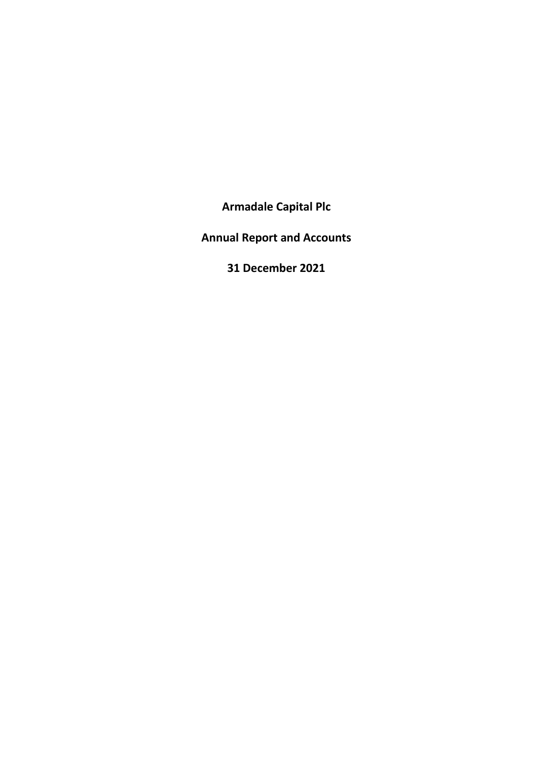**Armadale Capital Plc**

**Annual Report and Accounts**

**31 December 2021**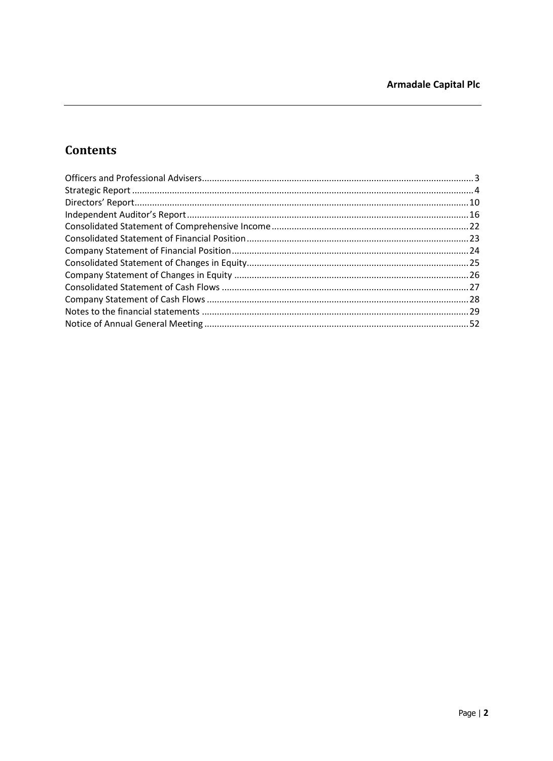# **Contents**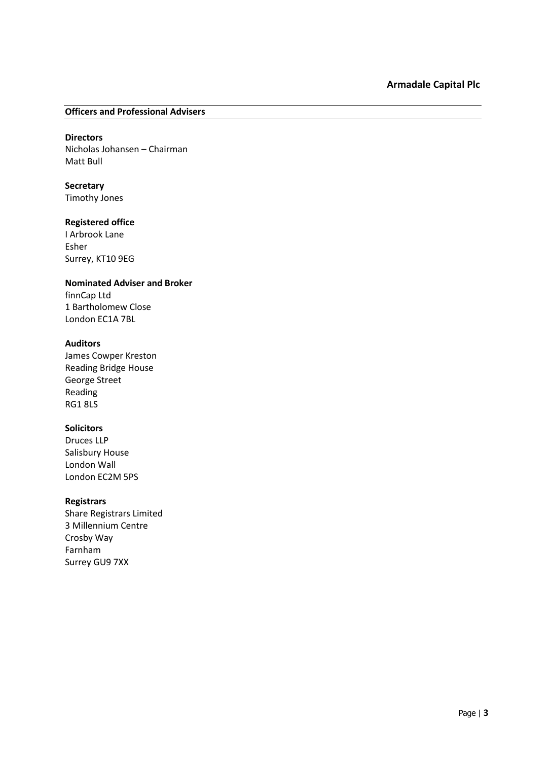### <span id="page-2-0"></span>**Officers and Professional Advisers**

# **Directors**

Nicholas Johansen – Chairman Matt Bull

**Secretary** Timothy Jones

# **Registered office**

I Arbrook Lane Esher Surrey, KT10 9EG

# **Nominated Adviser and Broker**

finnCap Ltd 1 Bartholomew Close London EC1A 7BL

# **Auditors**

James Cowper Kreston Reading Bridge House George Street Reading RG1 8LS

# **Solicitors**

Druces LLP Salisbury House London Wall London EC2M 5PS

# **Registrars**

Share Registrars Limited 3 Millennium Centre Crosby Way Farnham Surrey GU9 7XX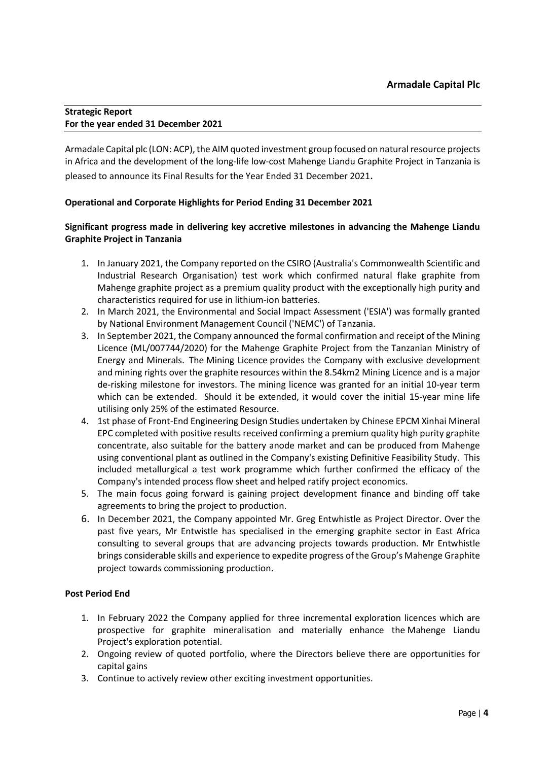# <span id="page-3-0"></span>**Strategic Report For the year ended 31 December 2021**

Armadale Capital plc (LON: ACP), the AIM quoted investment group focused on natural resource projects in Africa and the development of the long‐life low‐cost Mahenge Liandu Graphite Project in Tanzania is pleased to announce its Final Results for the Year Ended 31 December 2021.

# **Operational and Corporate Highlights for Period Ending 31 December 2021**

# **Significant progress made in delivering key accretive milestones in advancing the Mahenge Liandu Graphite Project in Tanzania**

- 1. In January 2021, the Company reported on the CSIRO (Australia's Commonwealth Scientific and Industrial Research Organisation) test work which confirmed natural flake graphite from Mahenge graphite project as a premium quality product with the exceptionally high purity and characteristics required for use in lithium-ion batteries.
- 2. In March 2021, the Environmental and Social Impact Assessment ('ESIA') was formally granted by National Environment Management Council ('NEMC') of Tanzania.
- 3. In September 2021, the Company announced the formal confirmation and receipt of the Mining Licence (ML/007744/2020) for the Mahenge Graphite Project from the Tanzanian Ministry of Energy and Minerals. The Mining Licence provides the Company with exclusive development and mining rights over the graphite resources within the 8.54km2 Mining Licence and is a major de-risking milestone for investors. The mining licence was granted for an initial 10-year term which can be extended. Should it be extended, it would cover the initial 15-year mine life utilising only 25% of the estimated Resource.
- 4. 1st phase of Front-End Engineering Design Studies undertaken by Chinese EPCM Xinhai Mineral EPC completed with positive results received confirming a premium quality high purity graphite concentrate, also suitable for the battery anode market and can be produced from Mahenge using conventional plant as outlined in the Company's existing Definitive Feasibility Study. This included metallurgical a test work programme which further confirmed the efficacy of the Company's intended process flow sheet and helped ratify project economics.
- 5. The main focus going forward is gaining project development finance and binding off take agreements to bring the project to production.
- 6. In December 2021, the Company appointed Mr. Greg Entwhistle as Project Director. Over the past five years, Mr Entwistle has specialised in the emerging graphite sector in East Africa consulting to several groups that are advancing projects towards production. Mr Entwhistle brings considerable skills and experience to expedite progress of the Group's Mahenge Graphite project towards commissioning production.

# **Post Period End**

- 1. In February 2022 the Company applied for three incremental exploration licences which are prospective for graphite mineralisation and materially enhance the Mahenge Liandu Project's exploration potential.
- 2. Ongoing review of quoted portfolio, where the Directors believe there are opportunities for capital gains
- 3. Continue to actively review other exciting investment opportunities.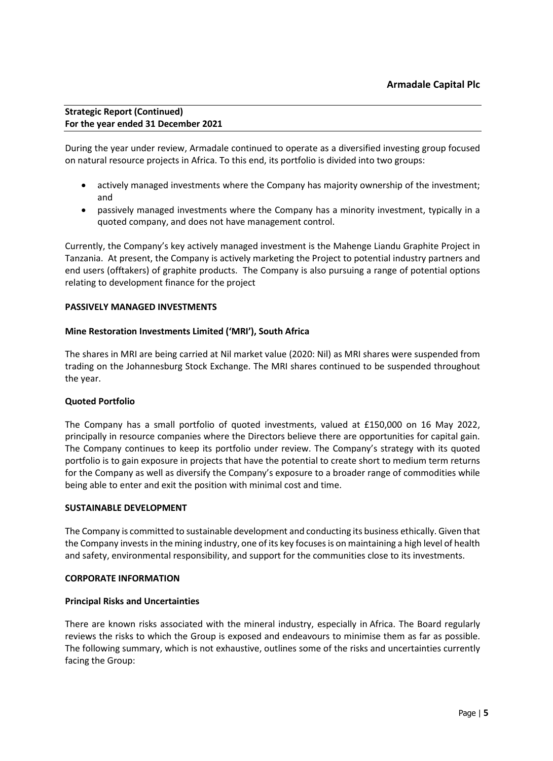During the year under review, Armadale continued to operate as a diversified investing group focused on natural resource projects in Africa. To this end, its portfolio is divided into two groups:

- actively managed investments where the Company has majority ownership of the investment; and
- passively managed investments where the Company has a minority investment, typically in a quoted company, and does not have management control.

Currently, the Company's key actively managed investment is the Mahenge Liandu Graphite Project in Tanzania. At present, the Company is actively marketing the Project to potential industry partners and end users (offtakers) of graphite products. The Company is also pursuing a range of potential options relating to development finance for the project

# **PASSIVELY MANAGED INVESTMENTS**

# **Mine Restoration Investments Limited ('MRI'), South Africa**

The shares in MRI are being carried at Nil market value (2020: Nil) as MRI shares were suspended from trading on the Johannesburg Stock Exchange. The MRI shares continued to be suspended throughout the year.

# **Quoted Portfolio**

The Company has a small portfolio of quoted investments, valued at £150,000 on 16 May 2022, principally in resource companies where the Directors believe there are opportunities for capital gain. The Company continues to keep its portfolio under review. The Company's strategy with its quoted portfolio is to gain exposure in projects that have the potential to create short to medium term returns for the Company as well as diversify the Company's exposure to a broader range of commodities while being able to enter and exit the position with minimal cost and time.

#### **SUSTAINABLE DEVELOPMENT**

The Company is committed to sustainable development and conducting its business ethically. Given that the Company invests in the mining industry, one of its key focuses is on maintaining a high level of health and safety, environmental responsibility, and support for the communities close to its investments.

#### **CORPORATE INFORMATION**

# **Principal Risks and Uncertainties**

There are known risks associated with the mineral industry, especially in Africa. The Board regularly reviews the risks to which the Group is exposed and endeavours to minimise them as far as possible. The following summary, which is not exhaustive, outlines some of the risks and uncertainties currently facing the Group: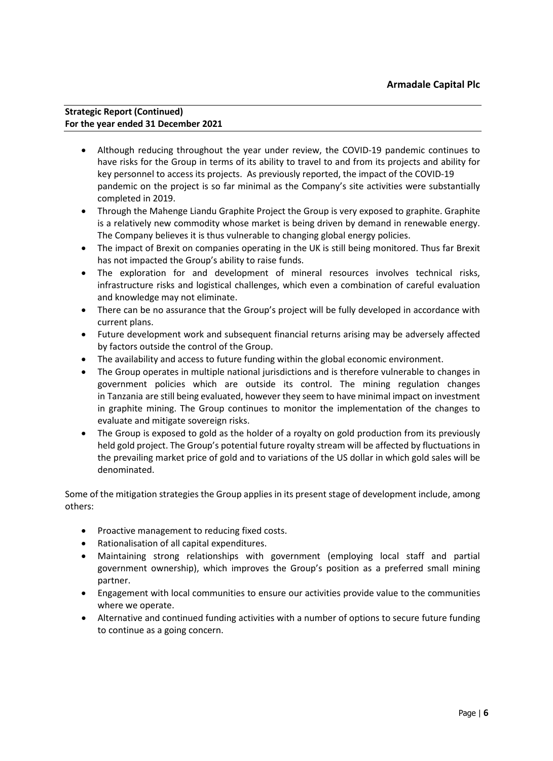- Although reducing throughout the year under review, the COVID-19 pandemic continues to have risks for the Group in terms of its ability to travel to and from its projects and ability for key personnel to access its projects. As previously reported, the impact of the COVID-19 pandemic on the project is so far minimal as the Company's site activities were substantially completed in 2019.
- Through the Mahenge Liandu Graphite Project the Group is very exposed to graphite. Graphite is a relatively new commodity whose market is being driven by demand in renewable energy. The Company believes it is thus vulnerable to changing global energy policies.
- The impact of Brexit on companies operating in the UK is still being monitored. Thus far Brexit has not impacted the Group's ability to raise funds.
- The exploration for and development of mineral resources involves technical risks, infrastructure risks and logistical challenges, which even a combination of careful evaluation and knowledge may not eliminate.
- There can be no assurance that the Group's project will be fully developed in accordance with current plans.
- Future development work and subsequent financial returns arising may be adversely affected by factors outside the control of the Group.
- The availability and access to future funding within the global economic environment.
- The Group operates in multiple national jurisdictions and is therefore vulnerable to changes in government policies which are outside its control. The mining regulation changes in Tanzania are still being evaluated, however they seem to have minimal impact on investment in graphite mining. The Group continues to monitor the implementation of the changes to evaluate and mitigate sovereign risks.
- The Group is exposed to gold as the holder of a royalty on gold production from its previously held gold project. The Group's potential future royalty stream will be affected by fluctuations in the prevailing market price of gold and to variations of the US dollar in which gold sales will be denominated.

Some of the mitigation strategies the Group applies in its present stage of development include, among others:

- Proactive management to reducing fixed costs.
- Rationalisation of all capital expenditures.
- Maintaining strong relationships with government (employing local staff and partial government ownership), which improves the Group's position as a preferred small mining partner.
- Engagement with local communities to ensure our activities provide value to the communities where we operate.
- Alternative and continued funding activities with a number of options to secure future funding to continue as a going concern.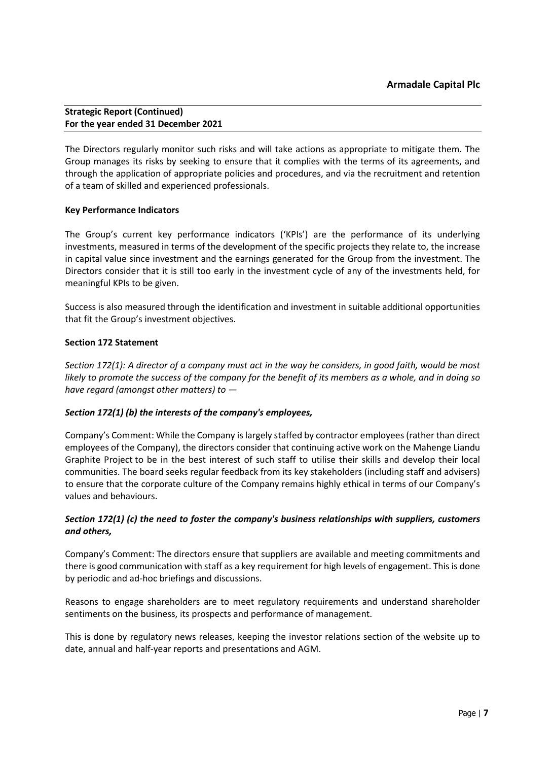The Directors regularly monitor such risks and will take actions as appropriate to mitigate them. The Group manages its risks by seeking to ensure that it complies with the terms of its agreements, and through the application of appropriate policies and procedures, and via the recruitment and retention of a team of skilled and experienced professionals.

# **Key Performance Indicators**

The Group's current key performance indicators ('KPIs') are the performance of its underlying investments, measured in terms of the development of the specific projects they relate to, the increase in capital value since investment and the earnings generated for the Group from the investment. The Directors consider that it is still too early in the investment cycle of any of the investments held, for meaningful KPIs to be given.

Success is also measured through the identification and investment in suitable additional opportunities that fit the Group's investment objectives.

# **Section 172 Statement**

*Section 172(1): A director of a company must act in the way he considers, in good faith, would be most likely to promote the success of the company for the benefit of its members as a whole, and in doing so have regard (amongst other matters) to —* 

# *Section 172(1) (b) the interests of the company's employees,*

Company's Comment: While the Company is largely staffed by contractor employees (rather than direct employees of the Company), the directors consider that continuing active work on the Mahenge Liandu Graphite Project to be in the best interest of such staff to utilise their skills and develop their local communities. The board seeks regular feedback from its key stakeholders (including staff and advisers) to ensure that the corporate culture of the Company remains highly ethical in terms of our Company's values and behaviours.

# *Section 172(1) (c) the need to foster the company's business relationships with suppliers, customers and others,*

Company's Comment: The directors ensure that suppliers are available and meeting commitments and there is good communication with staff as a key requirement for high levels of engagement. This is done by periodic and ad-hoc briefings and discussions.

Reasons to engage shareholders are to meet regulatory requirements and understand shareholder sentiments on the business, its prospects and performance of management.

This is done by regulatory news releases, keeping the investor relations section of the website up to date, annual and half-year reports and presentations and AGM.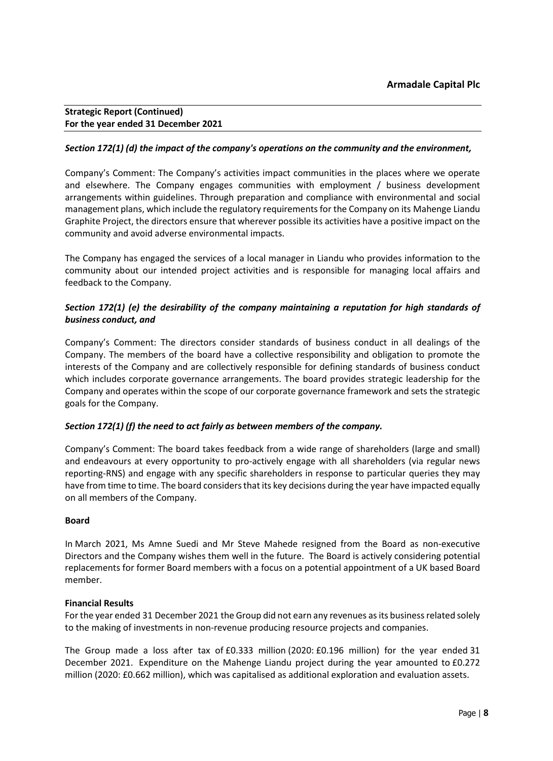# *Section 172(1) (d) the impact of the company's operations on the community and the environment,*

Company's Comment: The Company's activities impact communities in the places where we operate and elsewhere. The Company engages communities with employment / business development arrangements within guidelines. Through preparation and compliance with environmental and social management plans, which include the regulatory requirements for the Company on its Mahenge Liandu Graphite Project, the directors ensure that wherever possible its activities have a positive impact on the community and avoid adverse environmental impacts.

The Company has engaged the services of a local manager in Liandu who provides information to the community about our intended project activities and is responsible for managing local affairs and feedback to the Company.

# *Section 172(1) (e) the desirability of the company maintaining a reputation for high standards of business conduct, and*

Company's Comment: The directors consider standards of business conduct in all dealings of the Company. The members of the board have a collective responsibility and obligation to promote the interests of the Company and are collectively responsible for defining standards of business conduct which includes corporate governance arrangements. The board provides strategic leadership for the Company and operates within the scope of our corporate governance framework and sets the strategic goals for the Company.

# *Section 172(1) (f) the need to act fairly as between members of the company.*

Company's Comment: The board takes feedback from a wide range of shareholders (large and small) and endeavours at every opportunity to pro-actively engage with all shareholders (via regular news reporting-RNS) and engage with any specific shareholders in response to particular queries they may have from time to time. The board considers that its key decisions during the year have impacted equally on all members of the Company.

# **Board**

In March 2021, Ms Amne Suedi and Mr Steve Mahede resigned from the Board as non-executive Directors and the Company wishes them well in the future. The Board is actively considering potential replacements for former Board members with a focus on a potential appointment of a UK based Board member.

# **Financial Results**

For the year ended 31 December 2021 the Group did not earn any revenues as its business related solely to the making of investments in non-revenue producing resource projects and companies.

The Group made a loss after tax of £0.333 million (2020: £0.196 million) for the year ended 31 December 2021. Expenditure on the Mahenge Liandu project during the year amounted to £0.272 million (2020: £0.662 million), which was capitalised as additional exploration and evaluation assets.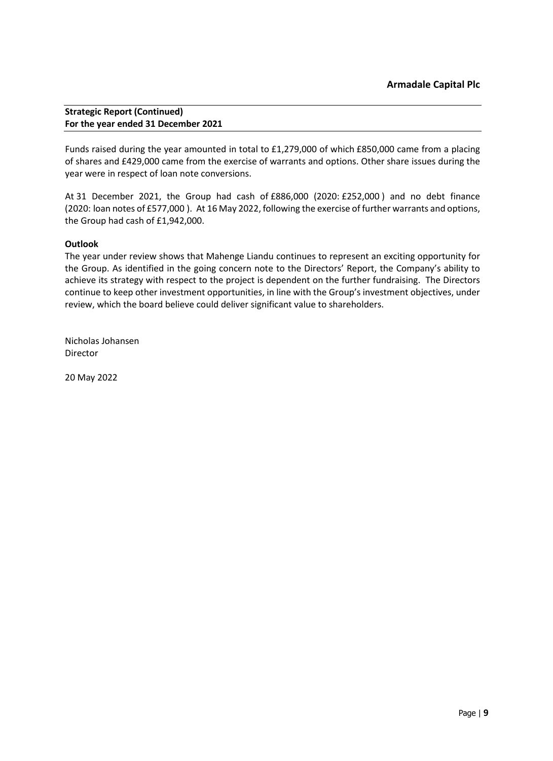Funds raised during the year amounted in total to £1,279,000 of which £850,000 came from a placing of shares and £429,000 came from the exercise of warrants and options. Other share issues during the year were in respect of loan note conversions.

At 31 December 2021, the Group had cash of £886,000 (2020: £252,000 ) and no debt finance (2020: loan notes of £577,000 ). At 16 May 2022, following the exercise of further warrants and options, the Group had cash of £1,942,000.

# **Outlook**

The year under review shows that Mahenge Liandu continues to represent an exciting opportunity for the Group. As identified in the going concern note to the Directors' Report, the Company's ability to achieve its strategy with respect to the project is dependent on the further fundraising. The Directors continue to keep other investment opportunities, in line with the Group's investment objectives, under review, which the board believe could deliver significant value to shareholders.

Nicholas Johansen Director

20 May 2022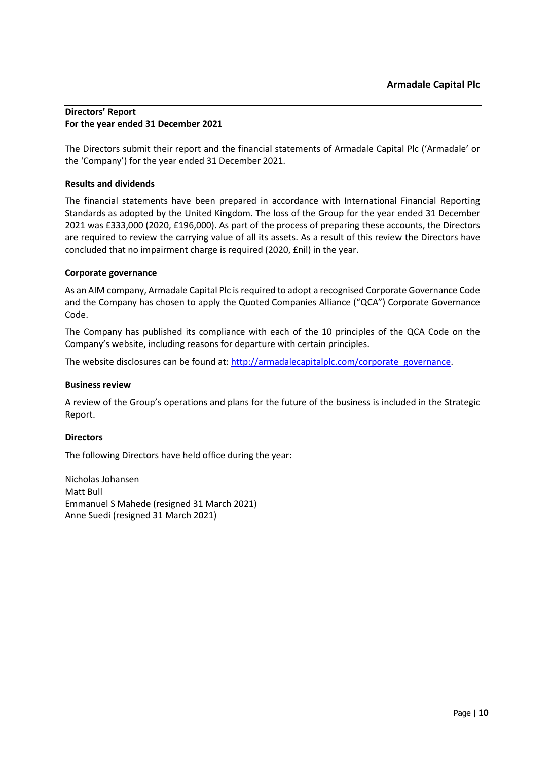### <span id="page-9-0"></span>**Directors' Report For the year ended 31 December 2021**

The Directors submit their report and the financial statements of Armadale Capital Plc ('Armadale' or the 'Company') for the year ended 31 December 2021.

# **Results and dividends**

The financial statements have been prepared in accordance with International Financial Reporting Standards as adopted by the United Kingdom. The loss of the Group for the year ended 31 December 2021 was £333,000 (2020, £196,000). As part of the process of preparing these accounts, the Directors are required to review the carrying value of all its assets. As a result of this review the Directors have concluded that no impairment charge is required (2020, £nil) in the year.

# **Corporate governance**

As an AIM company, Armadale Capital Plc is required to adopt a recognised Corporate Governance Code and the Company has chosen to apply the Quoted Companies Alliance ("QCA") Corporate Governance Code.

The Company has published its compliance with each of the 10 principles of the QCA Code on the Company's website, including reasons for departure with certain principles.

The website disclosures can be found at: [http://armadalecapitalplc.com/corporate\\_governance.](http://armadalecapitalplc.com/corporate_governance)

# **Business review**

A review of the Group's operations and plans for the future of the business is included in the Strategic Report.

# **Directors**

The following Directors have held office during the year:

Nicholas Johansen Matt Bull Emmanuel S Mahede (resigned 31 March 2021) Anne Suedi (resigned 31 March 2021)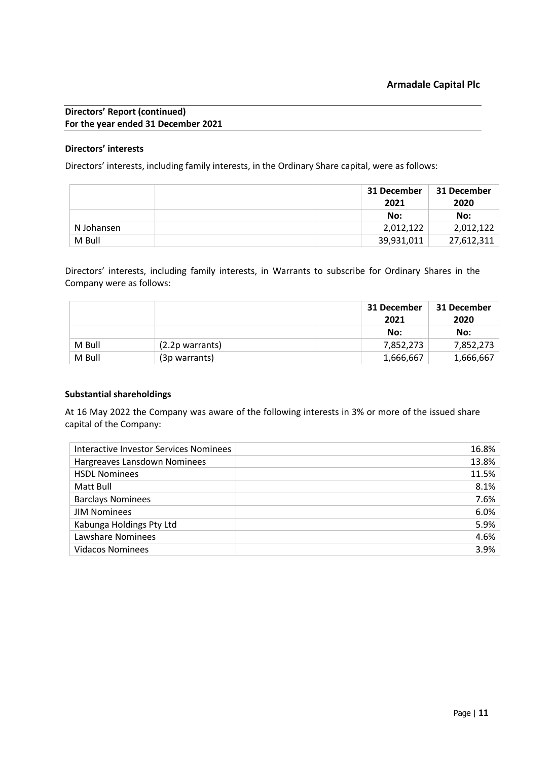### **Directors' interests**

Directors' interests, including family interests, in the Ordinary Share capital, were as follows:

|            | 31 December<br>2021 | 31 December<br>2020 |
|------------|---------------------|---------------------|
|            | No:                 | No:                 |
| N Johansen | 2,012,122           | 2,012,122           |
| M Bull     | 39,931,011          | 27,612,311          |

Directors' interests, including family interests, in Warrants to subscribe for Ordinary Shares in the Company were as follows:

|        |                    | 31 December<br>2021 | 31 December<br>2020 |
|--------|--------------------|---------------------|---------------------|
|        |                    | No:                 | No:                 |
| M Bull | $(2.2p)$ warrants) | 7,852,273           | 7,852,273           |
| M Bull | (3p warrants)      | 1,666,667           | 1,666,667           |

# **Substantial shareholdings**

At 16 May 2022 the Company was aware of the following interests in 3% or more of the issued share capital of the Company:

| Interactive Investor Services Nominees | 16.8% |
|----------------------------------------|-------|
| Hargreaves Lansdown Nominees           | 13.8% |
| <b>HSDL Nominees</b>                   | 11.5% |
| Matt Bull                              | 8.1%  |
| <b>Barclays Nominees</b>               | 7.6%  |
| <b>JIM Nominees</b>                    | 6.0%  |
| Kabunga Holdings Pty Ltd               | 5.9%  |
| Lawshare Nominees                      | 4.6%  |
| <b>Vidacos Nominees</b>                | 3.9%  |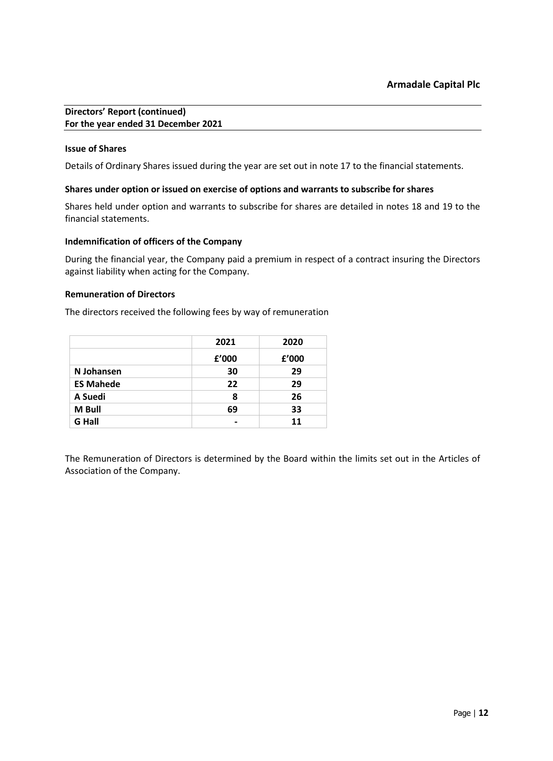### **Issue of Shares**

Details of Ordinary Shares issued during the year are set out in note 17 to the financial statements.

### **Shares under option or issued on exercise of options and warrants to subscribe for shares**

Shares held under option and warrants to subscribe for shares are detailed in notes 18 and 19 to the financial statements.

# **Indemnification of officers of the Company**

During the financial year, the Company paid a premium in respect of a contract insuring the Directors against liability when acting for the Company.

### **Remuneration of Directors**

The directors received the following fees by way of remuneration

|                  | 2021  | 2020  |
|------------------|-------|-------|
|                  | f'000 | f'000 |
| N Johansen       | 30    | 29    |
| <b>ES Mahede</b> | 22    | 29    |
| A Suedi          | 8     | 26    |
| M Bull           | 69    | 33    |
| <b>G</b> Hall    |       | 11    |

The Remuneration of Directors is determined by the Board within the limits set out in the Articles of Association of the Company.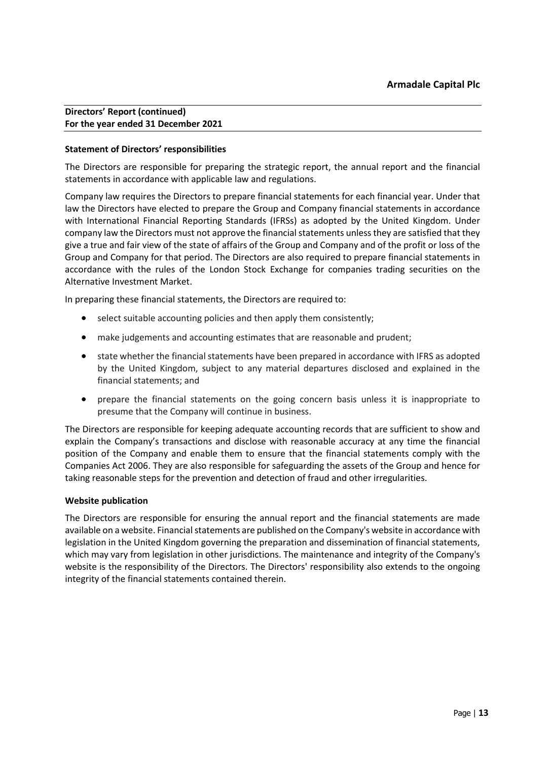### **Statement of Directors' responsibilities**

The Directors are responsible for preparing the strategic report, the annual report and the financial statements in accordance with applicable law and regulations.

Company law requires the Directors to prepare financial statements for each financial year. Under that law the Directors have elected to prepare the Group and Company financial statements in accordance with International Financial Reporting Standards (IFRSs) as adopted by the United Kingdom. Under company law the Directors must not approve the financial statements unless they are satisfied that they give a true and fair view of the state of affairs of the Group and Company and of the profit or loss of the Group and Company for that period. The Directors are also required to prepare financial statements in accordance with the rules of the London Stock Exchange for companies trading securities on the Alternative Investment Market.

In preparing these financial statements, the Directors are required to:

- select suitable accounting policies and then apply them consistently;
- make judgements and accounting estimates that are reasonable and prudent;
- state whether the financial statements have been prepared in accordance with IFRS as adopted by the United Kingdom, subject to any material departures disclosed and explained in the financial statements; and
- prepare the financial statements on the going concern basis unless it is inappropriate to presume that the Company will continue in business.

The Directors are responsible for keeping adequate accounting records that are sufficient to show and explain the Company's transactions and disclose with reasonable accuracy at any time the financial position of the Company and enable them to ensure that the financial statements comply with the Companies Act 2006. They are also responsible for safeguarding the assets of the Group and hence for taking reasonable steps for the prevention and detection of fraud and other irregularities.

#### **Website publication**

The Directors are responsible for ensuring the annual report and the financial statements are made available on a website. Financial statements are published on the Company's website in accordance with legislation in the United Kingdom governing the preparation and dissemination of financial statements, which may vary from legislation in other jurisdictions. The maintenance and integrity of the Company's website is the responsibility of the Directors. The Directors' responsibility also extends to the ongoing integrity of the financial statements contained therein.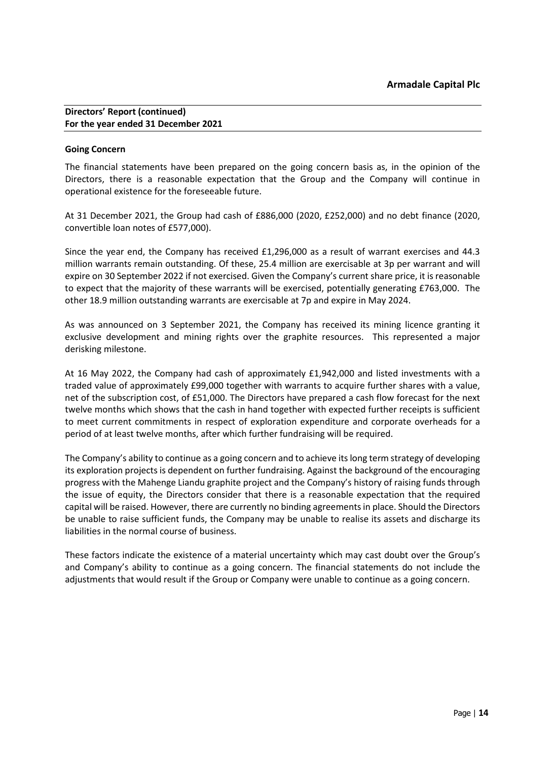# **Going Concern**

The financial statements have been prepared on the going concern basis as, in the opinion of the Directors, there is a reasonable expectation that the Group and the Company will continue in operational existence for the foreseeable future.

At 31 December 2021, the Group had cash of £886,000 (2020, £252,000) and no debt finance (2020, convertible loan notes of £577,000).

Since the year end, the Company has received £1,296,000 as a result of warrant exercises and 44.3 million warrants remain outstanding. Of these, 25.4 million are exercisable at 3p per warrant and will expire on 30 September 2022 if not exercised. Given the Company's current share price, it is reasonable to expect that the majority of these warrants will be exercised, potentially generating £763,000. The other 18.9 million outstanding warrants are exercisable at 7p and expire in May 2024.

As was announced on 3 September 2021, the Company has received its mining licence granting it exclusive development and mining rights over the graphite resources. This represented a major derisking milestone.

At 16 May 2022, the Company had cash of approximately £1,942,000 and listed investments with a traded value of approximately £99,000 together with warrants to acquire further shares with a value, net of the subscription cost, of £51,000. The Directors have prepared a cash flow forecast for the next twelve months which shows that the cash in hand together with expected further receipts is sufficient to meet current commitments in respect of exploration expenditure and corporate overheads for a period of at least twelve months, after which further fundraising will be required.

The Company's ability to continue as a going concern and to achieve its long term strategy of developing its exploration projects is dependent on further fundraising. Against the background of the encouraging progress with the Mahenge Liandu graphite project and the Company's history of raising funds through the issue of equity, the Directors consider that there is a reasonable expectation that the required capital will be raised. However, there are currently no binding agreements in place. Should the Directors be unable to raise sufficient funds, the Company may be unable to realise its assets and discharge its liabilities in the normal course of business.

These factors indicate the existence of a material uncertainty which may cast doubt over the Group's and Company's ability to continue as a going concern. The financial statements do not include the adjustments that would result if the Group or Company were unable to continue as a going concern.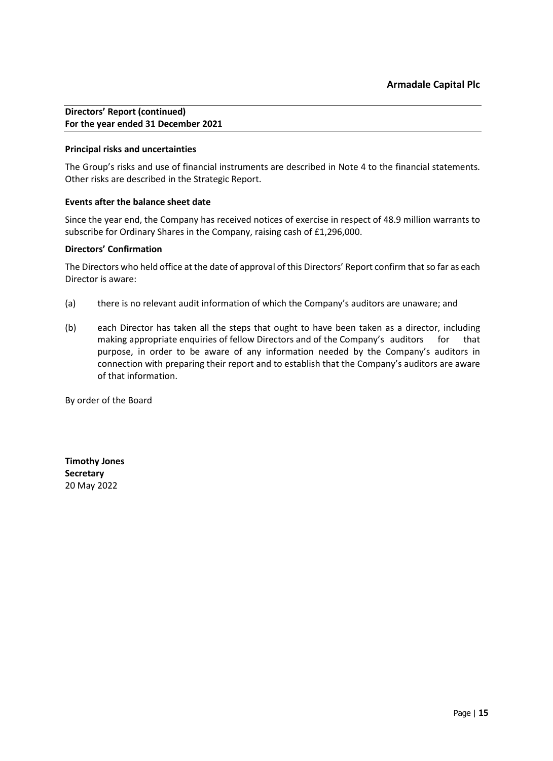# **Principal risks and uncertainties**

The Group's risks and use of financial instruments are described in Note 4 to the financial statements. Other risks are described in the Strategic Report.

### **Events after the balance sheet date**

Since the year end, the Company has received notices of exercise in respect of 48.9 million warrants to subscribe for Ordinary Shares in the Company, raising cash of £1,296,000.

### **Directors' Confirmation**

The Directors who held office at the date of approval of this Directors' Report confirm that so far as each Director is aware:

- (a) there is no relevant audit information of which the Company's auditors are unaware; and
- (b) each Director has taken all the steps that ought to have been taken as a director, including making appropriate enquiries of fellow Directors and of the Company's auditors for that purpose, in order to be aware of any information needed by the Company's auditors in connection with preparing their report and to establish that the Company's auditors are aware of that information.

By order of the Board

**Timothy Jones Secretary** 20 May 2022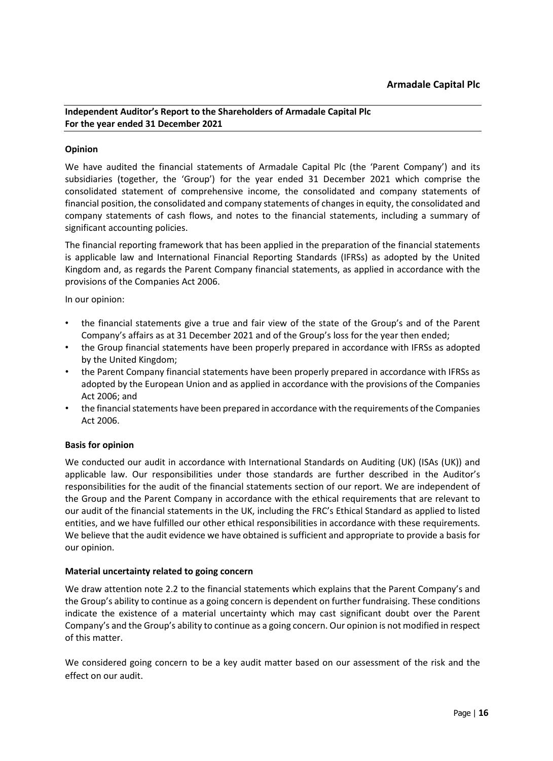# <span id="page-15-0"></span>**Opinion**

We have audited the financial statements of Armadale Capital Plc (the 'Parent Company') and its subsidiaries (together, the 'Group') for the year ended 31 December 2021 which comprise the consolidated statement of comprehensive income, the consolidated and company statements of financial position, the consolidated and company statements of changes in equity, the consolidated and company statements of cash flows, and notes to the financial statements, including a summary of significant accounting policies.

The financial reporting framework that has been applied in the preparation of the financial statements is applicable law and International Financial Reporting Standards (IFRSs) as adopted by the United Kingdom and, as regards the Parent Company financial statements, as applied in accordance with the provisions of the Companies Act 2006.

In our opinion:

- the financial statements give a true and fair view of the state of the Group's and of the Parent Company's affairs as at 31 December 2021 and of the Group's loss for the year then ended;
- the Group financial statements have been properly prepared in accordance with IFRSs as adopted by the United Kingdom;
- the Parent Company financial statements have been properly prepared in accordance with IFRSs as adopted by the European Union and as applied in accordance with the provisions of the Companies Act 2006; and
- the financial statements have been prepared in accordance with the requirements of the Companies Act 2006.

# **Basis for opinion**

We conducted our audit in accordance with International Standards on Auditing (UK) (ISAs (UK)) and applicable law. Our responsibilities under those standards are further described in the Auditor's responsibilities for the audit of the financial statements section of our report. We are independent of the Group and the Parent Company in accordance with the ethical requirements that are relevant to our audit of the financial statements in the UK, including the FRC's Ethical Standard as applied to listed entities, and we have fulfilled our other ethical responsibilities in accordance with these requirements. We believe that the audit evidence we have obtained is sufficient and appropriate to provide a basis for our opinion.

# **Material uncertainty related to going concern**

We draw attention note 2.2 to the financial statements which explains that the Parent Company's and the Group's ability to continue as a going concern is dependent on further fundraising. These conditions indicate the existence of a material uncertainty which may cast significant doubt over the Parent Company's and the Group's ability to continue as a going concern. Our opinion is not modified in respect of this matter.

We considered going concern to be a key audit matter based on our assessment of the risk and the effect on our audit.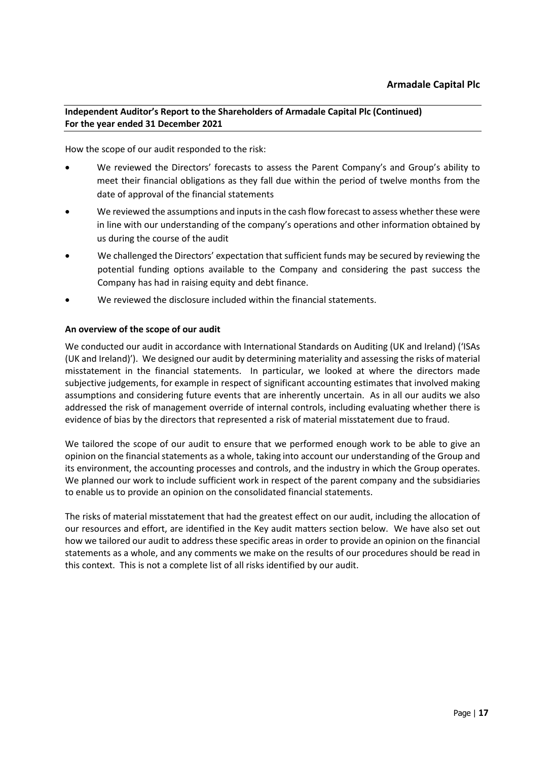How the scope of our audit responded to the risk:

- We reviewed the Directors' forecasts to assess the Parent Company's and Group's ability to meet their financial obligations as they fall due within the period of twelve months from the date of approval of the financial statements
- We reviewed the assumptions and inputs in the cash flow forecast to assess whether these were in line with our understanding of the company's operations and other information obtained by us during the course of the audit
- We challenged the Directors' expectation that sufficient funds may be secured by reviewing the potential funding options available to the Company and considering the past success the Company has had in raising equity and debt finance.
- We reviewed the disclosure included within the financial statements.

# **An overview of the scope of our audit**

We conducted our audit in accordance with International Standards on Auditing (UK and Ireland) ('ISAs (UK and Ireland)'). We designed our audit by determining materiality and assessing the risks of material misstatement in the financial statements. In particular, we looked at where the directors made subjective judgements, for example in respect of significant accounting estimates that involved making assumptions and considering future events that are inherently uncertain. As in all our audits we also addressed the risk of management override of internal controls, including evaluating whether there is evidence of bias by the directors that represented a risk of material misstatement due to fraud.

We tailored the scope of our audit to ensure that we performed enough work to be able to give an opinion on the financial statements as a whole, taking into account our understanding of the Group and its environment, the accounting processes and controls, and the industry in which the Group operates. We planned our work to include sufficient work in respect of the parent company and the subsidiaries to enable us to provide an opinion on the consolidated financial statements.

The risks of material misstatement that had the greatest effect on our audit, including the allocation of our resources and effort, are identified in the Key audit matters section below. We have also set out how we tailored our audit to address these specific areas in order to provide an opinion on the financial statements as a whole, and any comments we make on the results of our procedures should be read in this context. This is not a complete list of all risks identified by our audit.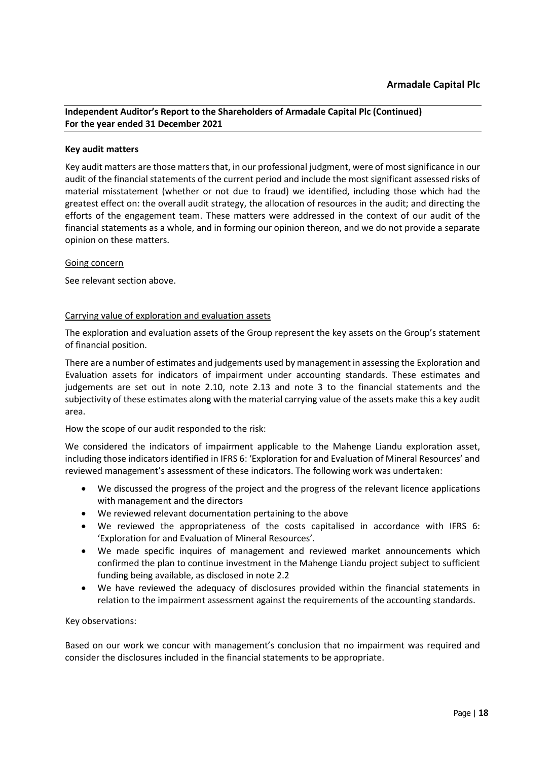# **Key audit matters**

Key audit matters are those matters that, in our professional judgment, were of most significance in our audit of the financial statements of the current period and include the most significant assessed risks of material misstatement (whether or not due to fraud) we identified, including those which had the greatest effect on: the overall audit strategy, the allocation of resources in the audit; and directing the efforts of the engagement team. These matters were addressed in the context of our audit of the financial statements as a whole, and in forming our opinion thereon, and we do not provide a separate opinion on these matters.

### Going concern

See relevant section above.

### Carrying value of exploration and evaluation assets

The exploration and evaluation assets of the Group represent the key assets on the Group's statement of financial position.

There are a number of estimates and judgements used by management in assessing the Exploration and Evaluation assets for indicators of impairment under accounting standards. These estimates and judgements are set out in note 2.10, note 2.13 and note 3 to the financial statements and the subjectivity of these estimates along with the material carrying value of the assets make this a key audit area.

# How the scope of our audit responded to the risk:

We considered the indicators of impairment applicable to the Mahenge Liandu exploration asset, including those indicators identified in IFRS 6: 'Exploration for and Evaluation of Mineral Resources' and reviewed management's assessment of these indicators. The following work was undertaken:

- We discussed the progress of the project and the progress of the relevant licence applications with management and the directors
- We reviewed relevant documentation pertaining to the above
- We reviewed the appropriateness of the costs capitalised in accordance with IFRS 6: 'Exploration for and Evaluation of Mineral Resources'.
- We made specific inquires of management and reviewed market announcements which confirmed the plan to continue investment in the Mahenge Liandu project subject to sufficient funding being available, as disclosed in note 2.2
- We have reviewed the adequacy of disclosures provided within the financial statements in relation to the impairment assessment against the requirements of the accounting standards.

# Key observations:

Based on our work we concur with management's conclusion that no impairment was required and consider the disclosures included in the financial statements to be appropriate.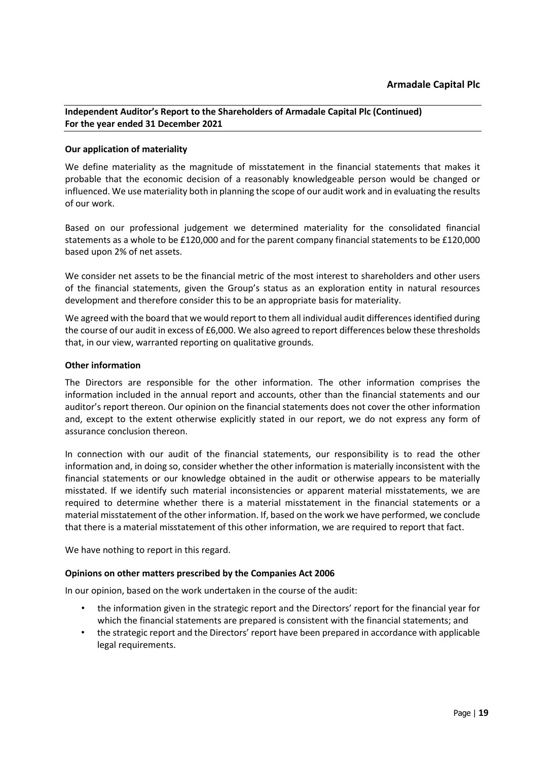# **Our application of materiality**

We define materiality as the magnitude of misstatement in the financial statements that makes it probable that the economic decision of a reasonably knowledgeable person would be changed or influenced. We use materiality both in planning the scope of our audit work and in evaluating the results of our work.

Based on our professional judgement we determined materiality for the consolidated financial statements as a whole to be £120,000 and for the parent company financial statements to be £120,000 based upon 2% of net assets.

We consider net assets to be the financial metric of the most interest to shareholders and other users of the financial statements, given the Group's status as an exploration entity in natural resources development and therefore consider this to be an appropriate basis for materiality.

We agreed with the board that we would report to them all individual audit differences identified during the course of our audit in excess of £6,000. We also agreed to report differences below these thresholds that, in our view, warranted reporting on qualitative grounds.

# **Other information**

The Directors are responsible for the other information. The other information comprises the information included in the annual report and accounts, other than the financial statements and our auditor's report thereon. Our opinion on the financial statements does not cover the other information and, except to the extent otherwise explicitly stated in our report, we do not express any form of assurance conclusion thereon.

In connection with our audit of the financial statements, our responsibility is to read the other information and, in doing so, consider whether the other information is materially inconsistent with the financial statements or our knowledge obtained in the audit or otherwise appears to be materially misstated. If we identify such material inconsistencies or apparent material misstatements, we are required to determine whether there is a material misstatement in the financial statements or a material misstatement of the other information. If, based on the work we have performed, we conclude that there is a material misstatement of this other information, we are required to report that fact.

We have nothing to report in this regard.

# **Opinions on other matters prescribed by the Companies Act 2006**

In our opinion, based on the work undertaken in the course of the audit:

- the information given in the strategic report and the Directors' report for the financial year for which the financial statements are prepared is consistent with the financial statements; and
- the strategic report and the Directors' report have been prepared in accordance with applicable legal requirements.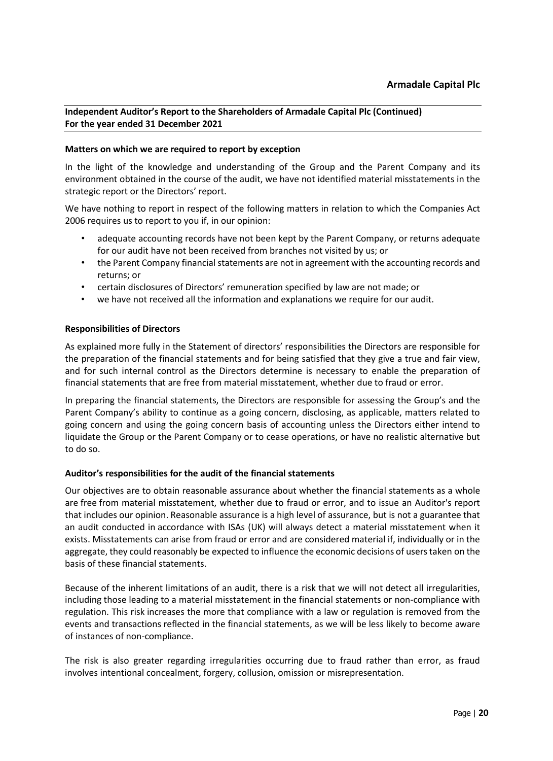# **Matters on which we are required to report by exception**

In the light of the knowledge and understanding of the Group and the Parent Company and its environment obtained in the course of the audit, we have not identified material misstatements in the strategic report or the Directors' report.

We have nothing to report in respect of the following matters in relation to which the Companies Act 2006 requires us to report to you if, in our opinion:

- adequate accounting records have not been kept by the Parent Company, or returns adequate for our audit have not been received from branches not visited by us; or
- the Parent Company financial statements are not in agreement with the accounting records and returns; or
- certain disclosures of Directors' remuneration specified by law are not made; or
- we have not received all the information and explanations we require for our audit.

### **Responsibilities of Directors**

As explained more fully in the Statement of directors' responsibilities the Directors are responsible for the preparation of the financial statements and for being satisfied that they give a true and fair view, and for such internal control as the Directors determine is necessary to enable the preparation of financial statements that are free from material misstatement, whether due to fraud or error.

In preparing the financial statements, the Directors are responsible for assessing the Group's and the Parent Company's ability to continue as a going concern, disclosing, as applicable, matters related to going concern and using the going concern basis of accounting unless the Directors either intend to liquidate the Group or the Parent Company or to cease operations, or have no realistic alternative but to do so.

# **Auditor's responsibilities for the audit of the financial statements**

Our objectives are to obtain reasonable assurance about whether the financial statements as a whole are free from material misstatement, whether due to fraud or error, and to issue an Auditor's report that includes our opinion. Reasonable assurance is a high level of assurance, but is not a guarantee that an audit conducted in accordance with ISAs (UK) will always detect a material misstatement when it exists. Misstatements can arise from fraud or error and are considered material if, individually or in the aggregate, they could reasonably be expected to influence the economic decisions of users taken on the basis of these financial statements.

Because of the inherent limitations of an audit, there is a risk that we will not detect all irregularities, including those leading to a material misstatement in the financial statements or non-compliance with regulation. This risk increases the more that compliance with a law or regulation is removed from the events and transactions reflected in the financial statements, as we will be less likely to become aware of instances of non-compliance.

The risk is also greater regarding irregularities occurring due to fraud rather than error, as fraud involves intentional concealment, forgery, collusion, omission or misrepresentation.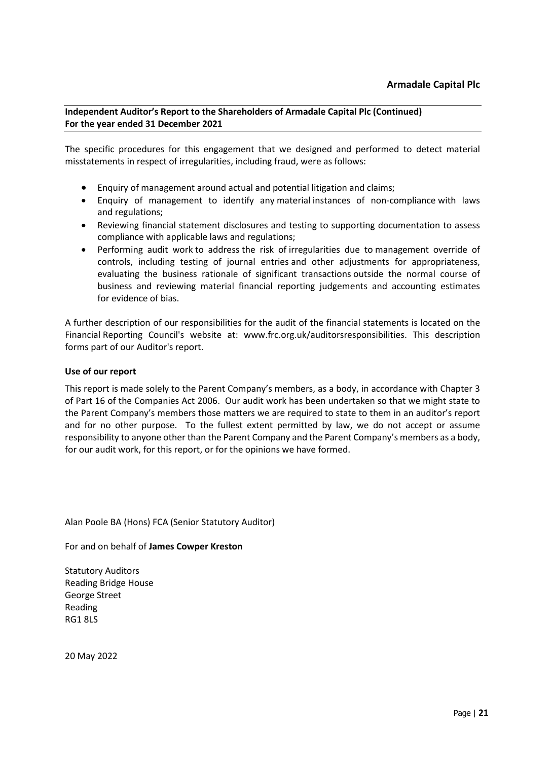The specific procedures for this engagement that we designed and performed to detect material misstatements in respect of irregularities, including fraud, were as follows:

- Enquiry of management around actual and potential litigation and claims;
- Enquiry of management to identify any material instances of non-compliance with laws and regulations;
- Reviewing financial statement disclosures and testing to supporting documentation to assess compliance with applicable laws and regulations;
- Performing audit work to address the risk of irregularities due to management override of controls, including testing of journal entries and other adjustments for appropriateness, evaluating the business rationale of significant transactions outside the normal course of business and reviewing material financial reporting judgements and accounting estimates for evidence of bias.

A further description of our responsibilities for the audit of the financial statements is located on the Financial Reporting Council's website at: www.frc.org.uk/auditorsresponsibilities. This description forms part of our Auditor's report.

# **Use of our report**

This report is made solely to the Parent Company's members, as a body, in accordance with Chapter 3 of Part 16 of the Companies Act 2006. Our audit work has been undertaken so that we might state to the Parent Company's members those matters we are required to state to them in an auditor's report and for no other purpose. To the fullest extent permitted by law, we do not accept or assume responsibility to anyone other than the Parent Company and the Parent Company's members as a body, for our audit work, for this report, or for the opinions we have formed.

Alan Poole BA (Hons) FCA (Senior Statutory Auditor)

For and on behalf of **James Cowper Kreston** 

Statutory Auditors Reading Bridge House George Street Reading RG1 8LS

20 May 2022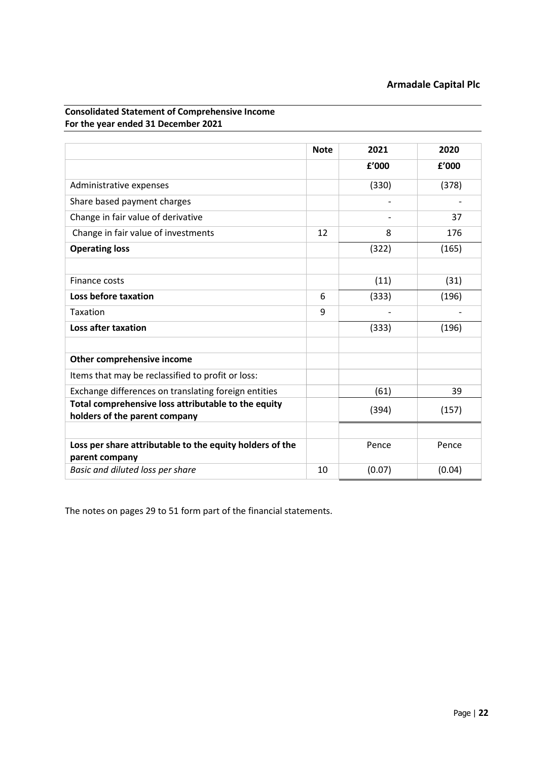|                                                                                      | <b>Note</b> | 2021                         | 2020   |
|--------------------------------------------------------------------------------------|-------------|------------------------------|--------|
|                                                                                      |             | f'000                        | f'000  |
| Administrative expenses                                                              |             | (330)                        | (378)  |
| Share based payment charges                                                          |             | $\qquad \qquad \blacksquare$ |        |
| Change in fair value of derivative                                                   |             |                              | 37     |
| Change in fair value of investments                                                  | 12          | 8                            | 176    |
| <b>Operating loss</b>                                                                |             | (322)                        | (165)  |
|                                                                                      |             |                              |        |
| Finance costs                                                                        |             | (11)                         | (31)   |
| Loss before taxation                                                                 | 6           | (333)                        | (196)  |
| Taxation                                                                             | 9           |                              |        |
| <b>Loss after taxation</b>                                                           |             | (333)                        | (196)  |
|                                                                                      |             |                              |        |
| Other comprehensive income                                                           |             |                              |        |
| Items that may be reclassified to profit or loss:                                    |             |                              |        |
| Exchange differences on translating foreign entities                                 |             | (61)                         | 39     |
| Total comprehensive loss attributable to the equity<br>holders of the parent company |             | (394)                        | (157)  |
|                                                                                      |             |                              |        |
| Loss per share attributable to the equity holders of the                             |             | Pence                        | Pence  |
| parent company                                                                       |             |                              |        |
| Basic and diluted loss per share                                                     | 10          | (0.07)                       | (0.04) |

<span id="page-21-0"></span>**Consolidated Statement of Comprehensive Income For the year ended 31 December 2021**

The notes on pages 29 to 51 form part of the financial statements.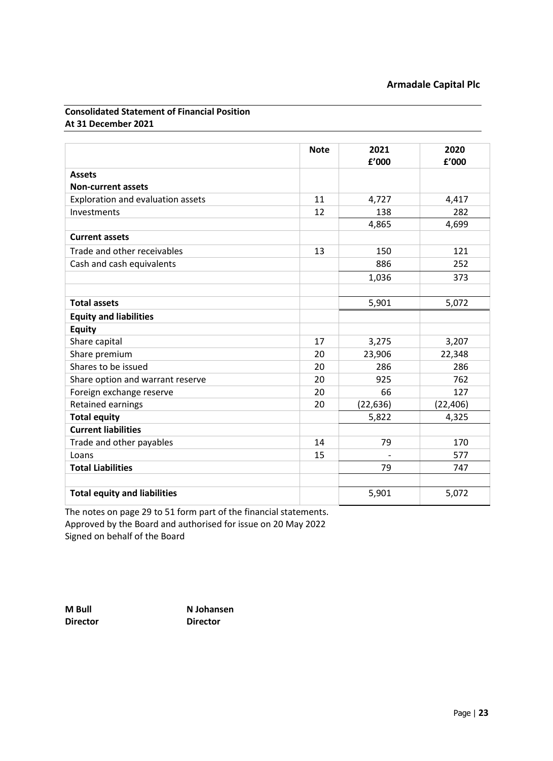# <span id="page-22-0"></span>**Consolidated Statement of Financial Position At 31 December 2021**

|                                     | <b>Note</b> | 2021<br>£'000 | 2020<br>£'000 |
|-------------------------------------|-------------|---------------|---------------|
| <b>Assets</b>                       |             |               |               |
| <b>Non-current assets</b>           |             |               |               |
| Exploration and evaluation assets   | 11          | 4,727         | 4,417         |
| Investments                         | 12          | 138           | 282           |
|                                     |             | 4,865         | 4,699         |
| <b>Current assets</b>               |             |               |               |
|                                     |             |               |               |
| Trade and other receivables         | 13          | 150           | 121           |
| Cash and cash equivalents           |             | 886           | 252           |
|                                     |             | 1,036         | 373           |
|                                     |             |               |               |
| <b>Total assets</b>                 |             | 5,901         | 5,072         |
| <b>Equity and liabilities</b>       |             |               |               |
| <b>Equity</b>                       |             |               |               |
| Share capital                       | 17          | 3,275         | 3,207         |
| Share premium                       | 20          | 23,906        | 22,348        |
| Shares to be issued                 | 20          | 286           | 286           |
| Share option and warrant reserve    | 20          | 925           | 762           |
| Foreign exchange reserve            | 20          | 66            | 127           |
| <b>Retained earnings</b>            | 20          | (22, 636)     | (22, 406)     |
| <b>Total equity</b>                 |             | 5,822         | 4,325         |
| <b>Current liabilities</b>          |             |               |               |
| Trade and other payables            | 14          | 79            | 170           |
| Loans                               | 15          |               | 577           |
| <b>Total Liabilities</b>            |             | 79            | 747           |
|                                     |             |               |               |
| <b>Total equity and liabilities</b> |             | 5,901         | 5,072         |

The notes on page 29 to 51 form part of the financial statements. Approved by the Board and authorised for issue on 20 May 2022 Signed on behalf of the Board

**Director Director** 

**M Bull N Johansen**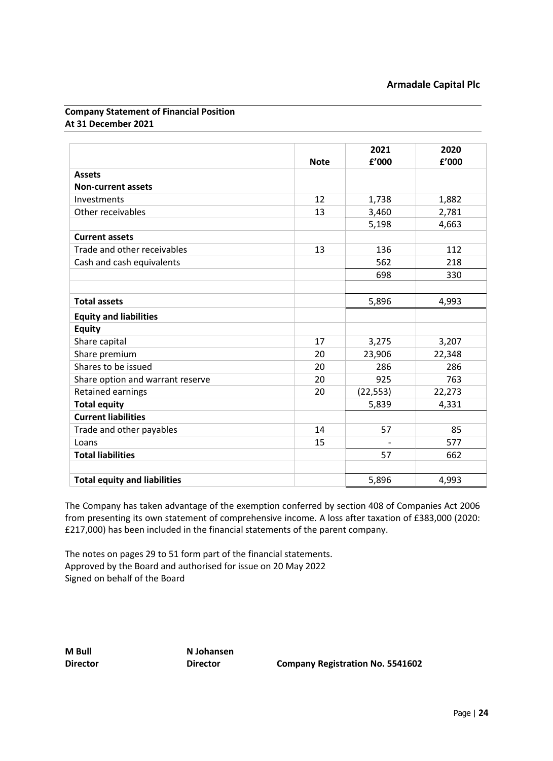# <span id="page-23-0"></span>**Company Statement of Financial Position At 31 December 2021**

|                                     |             | 2021      | 2020   |
|-------------------------------------|-------------|-----------|--------|
|                                     | <b>Note</b> | f'000     | f'000  |
| <b>Assets</b>                       |             |           |        |
| <b>Non-current assets</b>           |             |           |        |
| Investments                         | 12          | 1,738     | 1,882  |
| Other receivables                   | 13          | 3,460     | 2,781  |
|                                     |             | 5,198     | 4,663  |
| <b>Current assets</b>               |             |           |        |
| Trade and other receivables         | 13          | 136       | 112    |
| Cash and cash equivalents           |             | 562       | 218    |
|                                     |             | 698       | 330    |
|                                     |             |           |        |
| <b>Total assets</b>                 |             | 5,896     | 4,993  |
| <b>Equity and liabilities</b>       |             |           |        |
| <b>Equity</b>                       |             |           |        |
| Share capital                       | 17          | 3,275     | 3,207  |
| Share premium                       | 20          | 23,906    | 22,348 |
| Shares to be issued                 | 20          | 286       | 286    |
| Share option and warrant reserve    | 20          | 925       | 763    |
| <b>Retained earnings</b>            | 20          | (22, 553) | 22,273 |
| <b>Total equity</b>                 |             | 5,839     | 4,331  |
| <b>Current liabilities</b>          |             |           |        |
| Trade and other payables            | 14          | 57        | 85     |
| Loans                               | 15          |           | 577    |
| <b>Total liabilities</b>            |             | 57        | 662    |
|                                     |             |           |        |
| <b>Total equity and liabilities</b> |             | 5,896     | 4,993  |

The Company has taken advantage of the exemption conferred by section 408 of Companies Act 2006 from presenting its own statement of comprehensive income. A loss after taxation of £383,000 (2020: £217,000) has been included in the financial statements of the parent company.

The notes on pages 29 to 51 form part of the financial statements. Approved by the Board and authorised for issue on 20 May 2022 Signed on behalf of the Board

**M Bull N Johansen**

**Director Director Company Registration No. 5541602**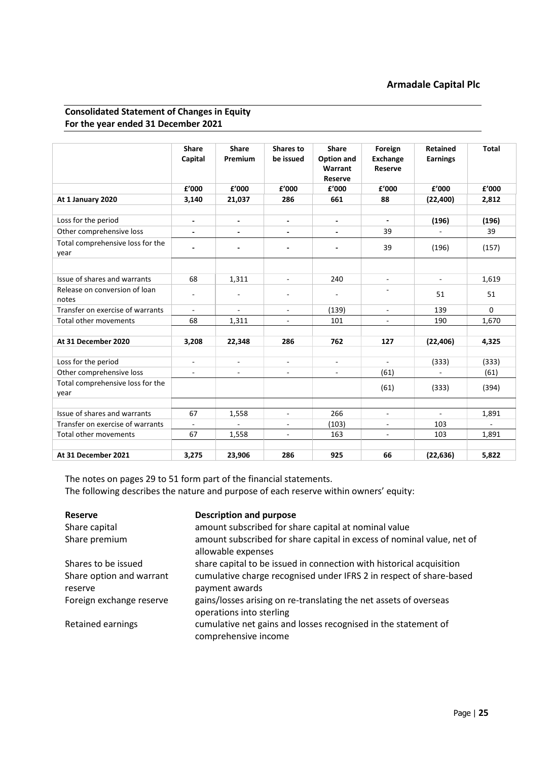# **Armadale Capital Plc**

# <span id="page-24-0"></span>**Consolidated Statement of Changes in Equity For the year ended 31 December 2021**

|                                          | <b>Share</b><br>Capital  | <b>Share</b><br>Premium  | Shares to<br>be issued       | <b>Share</b><br>Option and<br>Warrant<br>Reserve | Foreign<br><b>Exchange</b><br>Reserve | <b>Retained</b><br><b>Earnings</b> | <b>Total</b>             |
|------------------------------------------|--------------------------|--------------------------|------------------------------|--------------------------------------------------|---------------------------------------|------------------------------------|--------------------------|
|                                          | £'000                    | £'000                    | £'000                        | £'000                                            | £'000                                 | f'000                              | £'000                    |
| At 1 January 2020                        | 3,140                    | 21,037                   | 286                          | 661                                              | 88                                    | (22, 400)                          | 2,812                    |
|                                          |                          |                          |                              |                                                  |                                       |                                    |                          |
| Loss for the period                      | $\overline{\phantom{a}}$ | $\overline{\phantom{a}}$ | $\qquad \qquad \blacksquare$ | $\blacksquare$                                   | $\blacksquare$                        | (196)                              | (196)                    |
| Other comprehensive loss                 | ٠                        | $\blacksquare$           | $\blacksquare$               |                                                  | 39                                    |                                    | 39                       |
| Total comprehensive loss for the<br>year | $\overline{\phantom{a}}$ | ٠                        | ٠                            | $\overline{\phantom{0}}$                         | 39                                    | (196)                              | (157)                    |
|                                          |                          |                          |                              |                                                  |                                       |                                    |                          |
| Issue of shares and warrants             | 68                       | 1,311                    | $\overline{\phantom{a}}$     | 240                                              | ä,                                    | $\blacksquare$                     | 1,619                    |
| Release on conversion of loan<br>notes   | $\overline{\phantom{0}}$ | $\overline{\phantom{a}}$ | $\overline{a}$               | $\overline{\phantom{a}}$                         |                                       | 51                                 | 51                       |
| Transfer on exercise of warrants         |                          |                          | $\qquad \qquad \blacksquare$ | (139)                                            | $\overline{a}$                        | 139                                | $\Omega$                 |
| Total other movements                    | 68                       | 1,311                    | $\blacksquare$               | 101                                              | $\omega$                              | 190                                | 1,670                    |
|                                          |                          |                          |                              |                                                  |                                       |                                    |                          |
| At 31 December 2020                      | 3,208                    | 22,348                   | 286                          | 762                                              | 127                                   | (22, 406)                          | 4,325                    |
|                                          |                          |                          |                              |                                                  |                                       |                                    |                          |
| Loss for the period                      | ä,                       |                          |                              |                                                  |                                       | (333)                              | (333)                    |
| Other comprehensive loss                 | $\blacksquare$           | $\blacksquare$           | $\blacksquare$               | $\blacksquare$                                   | (61)                                  | $\blacksquare$                     | (61)                     |
| Total comprehensive loss for the<br>year |                          |                          |                              |                                                  | (61)                                  | (333)                              | (394)                    |
|                                          |                          |                          |                              |                                                  |                                       |                                    |                          |
| Issue of shares and warrants             | 67                       | 1,558                    | $\overline{\phantom{a}}$     | 266                                              | $\overline{\phantom{a}}$              |                                    | 1,891                    |
| Transfer on exercise of warrants         | $\blacksquare$           |                          | $\frac{1}{2}$                | (103)                                            | $\overline{\phantom{a}}$              | 103                                | $\overline{\phantom{a}}$ |
| Total other movements                    | 67                       | 1,558                    | $\blacksquare$               | 163                                              | $\blacksquare$                        | 103                                | 1,891                    |
|                                          |                          |                          |                              |                                                  |                                       |                                    |                          |
| At 31 December 2021                      | 3,275                    | 23,906                   | 286                          | 925                                              | 66                                    | (22, 636)                          | 5,822                    |

The notes on pages 29 to 51 form part of the financial statements. The following describes the nature and purpose of each reserve within owners' equity:

| <b>Reserve</b><br>Share capital     | <b>Description and purpose</b><br>amount subscribed for share capital at nominal value        |
|-------------------------------------|-----------------------------------------------------------------------------------------------|
| Share premium                       | amount subscribed for share capital in excess of nominal value, net of<br>allowable expenses  |
| Shares to be issued                 | share capital to be issued in connection with historical acquisition                          |
| Share option and warrant<br>reserve | cumulative charge recognised under IFRS 2 in respect of share-based<br>payment awards         |
| Foreign exchange reserve            | gains/losses arising on re-translating the net assets of overseas<br>operations into sterling |
| Retained earnings                   | cumulative net gains and losses recognised in the statement of<br>comprehensive income        |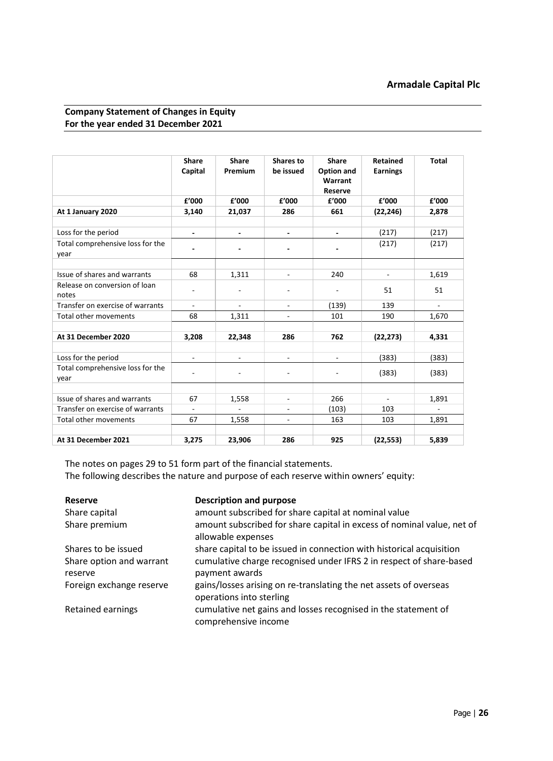# <span id="page-25-0"></span>**Company Statement of Changes in Equity For the year ended 31 December 2021**

|                                          | <b>Share</b><br>Capital  | <b>Share</b><br>Premium | Shares to<br>be issued   | <b>Share</b><br>Option and<br>Warrant<br><b>Reserve</b> | Retained<br><b>Earnings</b> | <b>Total</b>             |
|------------------------------------------|--------------------------|-------------------------|--------------------------|---------------------------------------------------------|-----------------------------|--------------------------|
|                                          | £'000                    | £'000                   | £'000                    | £'000                                                   | £'000                       | £'000                    |
| At 1 January 2020                        | 3,140                    | 21,037                  | 286                      | 661                                                     | (22, 246)                   | 2,878                    |
|                                          |                          |                         |                          |                                                         |                             |                          |
| Loss for the period                      | $\overline{\phantom{a}}$ | $\blacksquare$          | $\overline{\phantom{a}}$ | $\blacksquare$                                          | (217)                       | (217)                    |
| Total comprehensive loss for the<br>year |                          |                         |                          |                                                         | (217)                       | (217)                    |
|                                          |                          |                         |                          |                                                         |                             |                          |
| Issue of shares and warrants             | 68                       | 1,311                   | ÷.                       | 240                                                     | ÷.                          | 1,619                    |
| Release on conversion of loan<br>notes   |                          |                         |                          |                                                         | 51                          | 51                       |
| Transfer on exercise of warrants         | $\overline{\phantom{a}}$ | ÷,                      | $\overline{\phantom{a}}$ | (139)                                                   | 139                         | $\overline{\phantom{a}}$ |
| <b>Total other movements</b>             | 68                       | 1,311                   | $\blacksquare$           | 101                                                     | 190                         | 1,670                    |
|                                          |                          |                         |                          |                                                         |                             |                          |
| At 31 December 2020                      | 3,208                    | 22,348                  | 286                      | 762                                                     | (22, 273)                   | 4,331                    |
|                                          |                          |                         |                          |                                                         |                             |                          |
| Loss for the period                      |                          |                         |                          |                                                         | (383)                       | (383)                    |
| Total comprehensive loss for the<br>year |                          |                         |                          |                                                         | (383)                       | (383)                    |
|                                          |                          |                         |                          |                                                         |                             |                          |
| Issue of shares and warrants             | 67                       | 1,558                   | $\overline{\phantom{a}}$ | 266                                                     | $\overline{\phantom{a}}$    | 1,891                    |
| Transfer on exercise of warrants         |                          |                         |                          | (103)                                                   | 103                         |                          |
| Total other movements                    | 67                       | 1,558                   | $\blacksquare$           | 163                                                     | 103                         | 1,891                    |
| At 31 December 2021                      | 3,275                    | 23,906                  | 286                      | 925                                                     | (22, 553)                   | 5,839                    |

The notes on pages 29 to 51 form part of the financial statements. The following describes the nature and purpose of each reserve within owners' equity:

| Reserve                             | <b>Description and purpose</b>                                                                |
|-------------------------------------|-----------------------------------------------------------------------------------------------|
| Share capital                       | amount subscribed for share capital at nominal value                                          |
| Share premium                       | amount subscribed for share capital in excess of nominal value, net of<br>allowable expenses  |
| Shares to be issued                 | share capital to be issued in connection with historical acquisition                          |
| Share option and warrant<br>reserve | cumulative charge recognised under IFRS 2 in respect of share-based<br>payment awards         |
| Foreign exchange reserve            | gains/losses arising on re-translating the net assets of overseas<br>operations into sterling |
| Retained earnings                   | cumulative net gains and losses recognised in the statement of<br>comprehensive income        |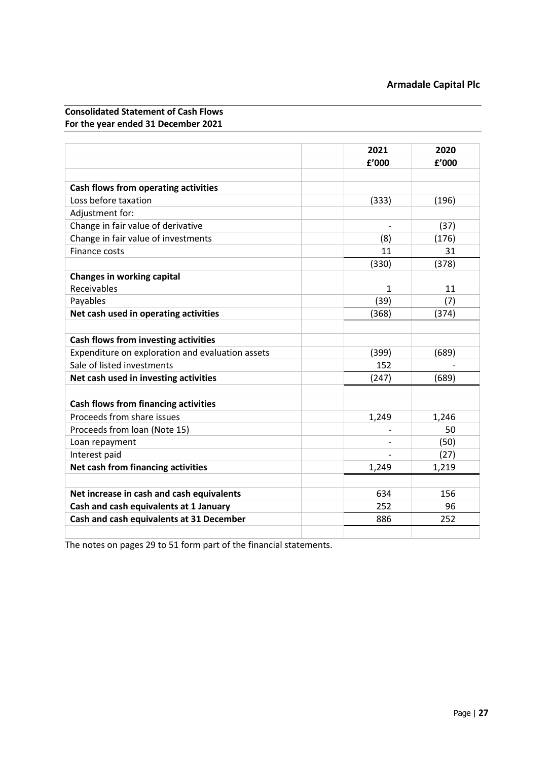# <span id="page-26-0"></span>**Consolidated Statement of Cash Flows For the year ended 31 December 2021**

|                                                  | 2021  | 2020  |
|--------------------------------------------------|-------|-------|
|                                                  | £'000 | f'000 |
|                                                  |       |       |
| Cash flows from operating activities             |       |       |
| Loss before taxation                             | (333) | (196) |
| Adjustment for:                                  |       |       |
| Change in fair value of derivative               |       | (37)  |
| Change in fair value of investments              | (8)   | (176) |
| <b>Finance costs</b>                             | 11    | 31    |
|                                                  | (330) | (378) |
| <b>Changes in working capital</b>                |       |       |
| <b>Receivables</b>                               | 1     | 11    |
| Payables                                         | (39)  | (7)   |
| Net cash used in operating activities            | (368) | (374) |
|                                                  |       |       |
| <b>Cash flows from investing activities</b>      |       |       |
| Expenditure on exploration and evaluation assets | (399) | (689) |
| Sale of listed investments                       | 152   |       |
| Net cash used in investing activities            | (247) | (689) |
|                                                  |       |       |
| <b>Cash flows from financing activities</b>      |       |       |
| Proceeds from share issues                       | 1,249 | 1,246 |
| Proceeds from loan (Note 15)                     |       | 50    |
| Loan repayment                                   |       | (50)  |
| Interest paid                                    |       | (27)  |
| Net cash from financing activities               | 1,249 | 1,219 |
|                                                  |       |       |
| Net increase in cash and cash equivalents        | 634   | 156   |
| Cash and cash equivalents at 1 January           | 252   | 96    |
| Cash and cash equivalents at 31 December         | 886   | 252   |
|                                                  |       |       |

The notes on pages 29 to 51 form part of the financial statements.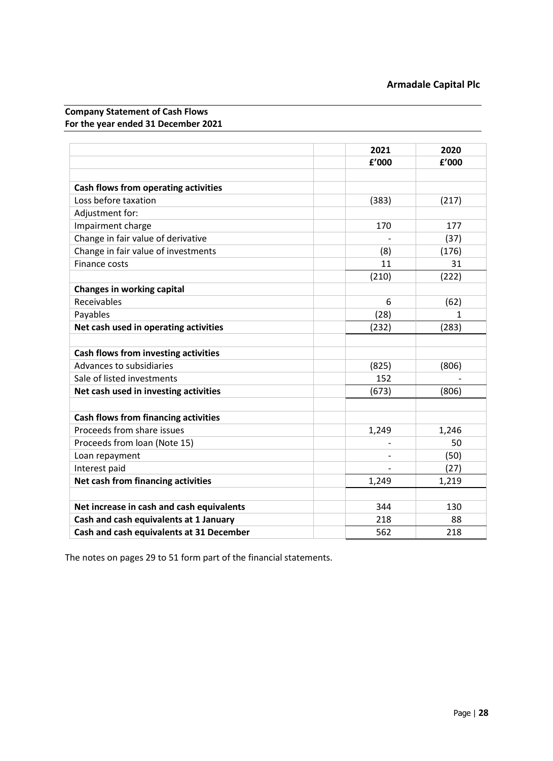# <span id="page-27-0"></span>**Company Statement of Cash Flows For the year ended 31 December 2021**

|                                             | 2021  | 2020  |
|---------------------------------------------|-------|-------|
|                                             | f'000 | f'000 |
|                                             |       |       |
| <b>Cash flows from operating activities</b> |       |       |
| Loss before taxation                        | (383) | (217) |
| Adjustment for:                             |       |       |
| Impairment charge                           | 170   | 177   |
| Change in fair value of derivative          |       | (37)  |
| Change in fair value of investments         | (8)   | (176) |
| Finance costs                               | 11    | 31    |
|                                             | (210) | (222) |
| <b>Changes in working capital</b>           |       |       |
| Receivables                                 | 6     | (62)  |
| Payables                                    | (28)  |       |
| Net cash used in operating activities       | (232) | (283) |
|                                             |       |       |
| Cash flows from investing activities        |       |       |
| Advances to subsidiaries                    | (825) | (806) |
| Sale of listed investments                  | 152   |       |
| Net cash used in investing activities       | (673) | (806) |
|                                             |       |       |
| <b>Cash flows from financing activities</b> |       |       |
| Proceeds from share issues                  | 1,249 | 1,246 |
| Proceeds from loan (Note 15)                |       | 50    |
| Loan repayment                              |       | (50)  |
| Interest paid                               |       | (27)  |
| Net cash from financing activities          | 1,249 | 1,219 |
|                                             |       |       |
| Net increase in cash and cash equivalents   | 344   | 130   |
| Cash and cash equivalents at 1 January      | 218   | 88    |
| Cash and cash equivalents at 31 December    | 562   | 218   |

The notes on pages 29 to 51 form part of the financial statements.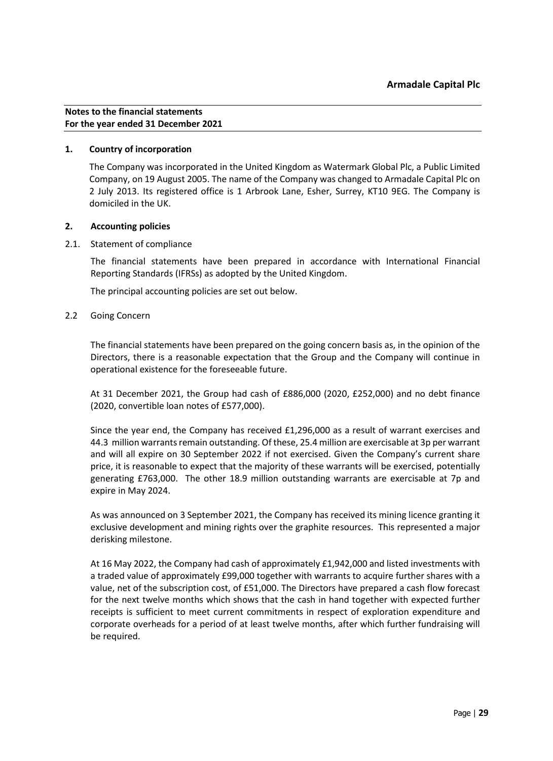# <span id="page-28-0"></span>**1. Country of incorporation**

The Company was incorporated in the United Kingdom as Watermark Global Plc, a Public Limited Company, on 19 August 2005. The name of the Company was changed to Armadale Capital Plc on 2 July 2013. Its registered office is 1 Arbrook Lane, Esher, Surrey, KT10 9EG. The Company is domiciled in the UK.

# **2. Accounting policies**

# 2.1. Statement of compliance

The financial statements have been prepared in accordance with International Financial Reporting Standards (IFRSs) as adopted by the United Kingdom.

The principal accounting policies are set out below.

# 2.2 Going Concern

The financial statements have been prepared on the going concern basis as, in the opinion of the Directors, there is a reasonable expectation that the Group and the Company will continue in operational existence for the foreseeable future.

At 31 December 2021, the Group had cash of £886,000 (2020, £252,000) and no debt finance (2020, convertible loan notes of £577,000).

Since the year end, the Company has received £1,296,000 as a result of warrant exercises and 44.3 million warrants remain outstanding. Of these, 25.4 million are exercisable at 3p per warrant and will all expire on 30 September 2022 if not exercised. Given the Company's current share price, it is reasonable to expect that the majority of these warrants will be exercised, potentially generating £763,000. The other 18.9 million outstanding warrants are exercisable at 7p and expire in May 2024.

As was announced on 3 September 2021, the Company has received its mining licence granting it exclusive development and mining rights over the graphite resources. This represented a major derisking milestone.

At 16 May 2022, the Company had cash of approximately £1,942,000 and listed investments with a traded value of approximately £99,000 together with warrants to acquire further shares with a value, net of the subscription cost, of £51,000. The Directors have prepared a cash flow forecast for the next twelve months which shows that the cash in hand together with expected further receipts is sufficient to meet current commitments in respect of exploration expenditure and corporate overheads for a period of at least twelve months, after which further fundraising will be required.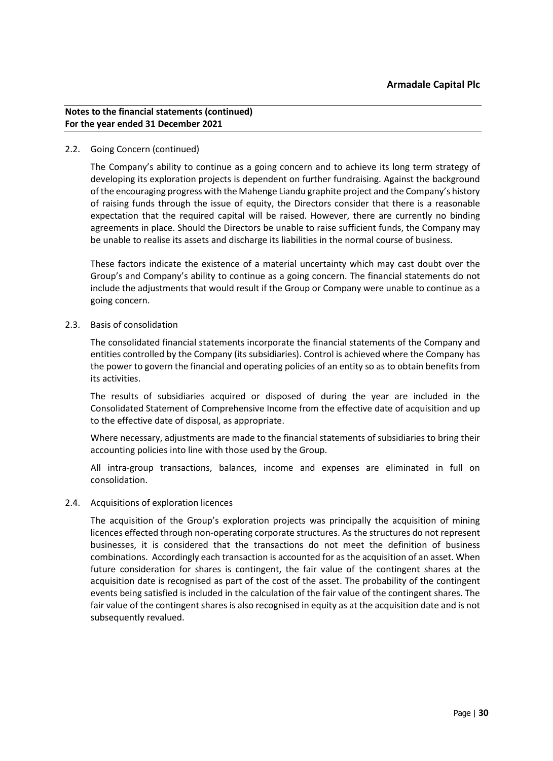# 2.2. Going Concern (continued)

The Company's ability to continue as a going concern and to achieve its long term strategy of developing its exploration projects is dependent on further fundraising. Against the background of the encouraging progress with the Mahenge Liandu graphite project and the Company's history of raising funds through the issue of equity, the Directors consider that there is a reasonable expectation that the required capital will be raised. However, there are currently no binding agreements in place. Should the Directors be unable to raise sufficient funds, the Company may be unable to realise its assets and discharge its liabilities in the normal course of business.

These factors indicate the existence of a material uncertainty which may cast doubt over the Group's and Company's ability to continue as a going concern. The financial statements do not include the adjustments that would result if the Group or Company were unable to continue as a going concern.

2.3. Basis of consolidation

The consolidated financial statements incorporate the financial statements of the Company and entities controlled by the Company (its subsidiaries). Control is achieved where the Company has the power to govern the financial and operating policies of an entity so as to obtain benefits from its activities.

The results of subsidiaries acquired or disposed of during the year are included in the Consolidated Statement of Comprehensive Income from the effective date of acquisition and up to the effective date of disposal, as appropriate.

Where necessary, adjustments are made to the financial statements of subsidiaries to bring their accounting policies into line with those used by the Group.

All intra-group transactions, balances, income and expenses are eliminated in full on consolidation.

# 2.4. Acquisitions of exploration licences

The acquisition of the Group's exploration projects was principally the acquisition of mining licences effected through non-operating corporate structures. As the structures do not represent businesses, it is considered that the transactions do not meet the definition of business combinations. Accordingly each transaction is accounted for as the acquisition of an asset. When future consideration for shares is contingent, the fair value of the contingent shares at the acquisition date is recognised as part of the cost of the asset. The probability of the contingent events being satisfied is included in the calculation of the fair value of the contingent shares. The fair value of the contingent shares is also recognised in equity as at the acquisition date and is not subsequently revalued.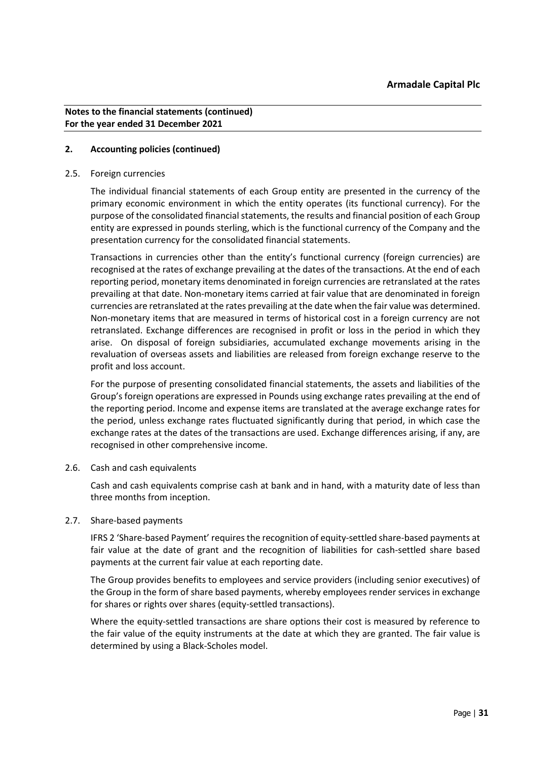# **2. Accounting policies (continued)**

#### 2.5. Foreign currencies

The individual financial statements of each Group entity are presented in the currency of the primary economic environment in which the entity operates (its functional currency). For the purpose of the consolidated financial statements, the results and financial position of each Group entity are expressed in pounds sterling, which is the functional currency of the Company and the presentation currency for the consolidated financial statements.

Transactions in currencies other than the entity's functional currency (foreign currencies) are recognised at the rates of exchange prevailing at the dates of the transactions. At the end of each reporting period, monetary items denominated in foreign currencies are retranslated at the rates prevailing at that date. Non-monetary items carried at fair value that are denominated in foreign currencies are retranslated at the rates prevailing at the date when the fair value was determined. Non-monetary items that are measured in terms of historical cost in a foreign currency are not retranslated. Exchange differences are recognised in profit or loss in the period in which they arise. On disposal of foreign subsidiaries, accumulated exchange movements arising in the revaluation of overseas assets and liabilities are released from foreign exchange reserve to the profit and loss account.

For the purpose of presenting consolidated financial statements, the assets and liabilities of the Group's foreign operations are expressed in Pounds using exchange rates prevailing at the end of the reporting period. Income and expense items are translated at the average exchange rates for the period, unless exchange rates fluctuated significantly during that period, in which case the exchange rates at the dates of the transactions are used. Exchange differences arising, if any, are recognised in other comprehensive income.

# 2.6. Cash and cash equivalents

Cash and cash equivalents comprise cash at bank and in hand, with a maturity date of less than three months from inception.

# 2.7. Share-based payments

IFRS 2 'Share-based Payment' requires the recognition of equity-settled share-based payments at fair value at the date of grant and the recognition of liabilities for cash-settled share based payments at the current fair value at each reporting date.

The Group provides benefits to employees and service providers (including senior executives) of the Group in the form of share based payments, whereby employees render services in exchange for shares or rights over shares (equity-settled transactions).

Where the equity-settled transactions are share options their cost is measured by reference to the fair value of the equity instruments at the date at which they are granted. The fair value is determined by using a Black-Scholes model.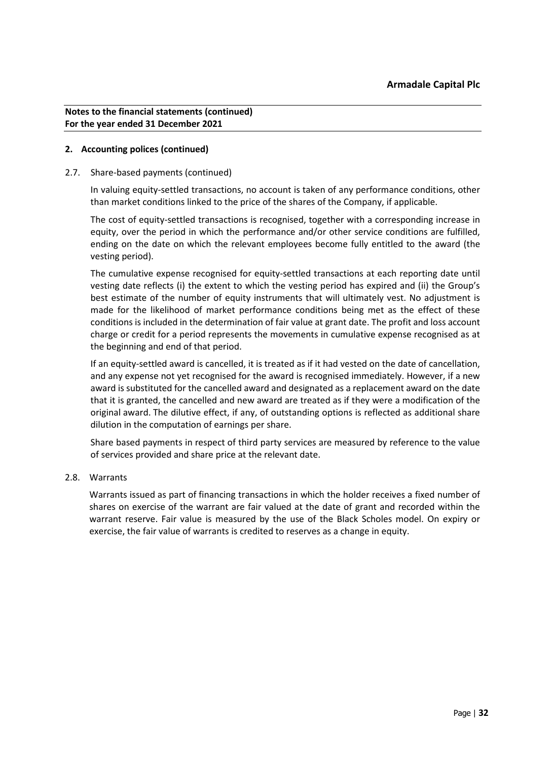# **2. Accounting polices (continued)**

### 2.7. Share-based payments (continued)

In valuing equity-settled transactions, no account is taken of any performance conditions, other than market conditions linked to the price of the shares of the Company, if applicable.

The cost of equity-settled transactions is recognised, together with a corresponding increase in equity, over the period in which the performance and/or other service conditions are fulfilled, ending on the date on which the relevant employees become fully entitled to the award (the vesting period).

The cumulative expense recognised for equity-settled transactions at each reporting date until vesting date reflects (i) the extent to which the vesting period has expired and (ii) the Group's best estimate of the number of equity instruments that will ultimately vest. No adjustment is made for the likelihood of market performance conditions being met as the effect of these conditions is included in the determination of fair value at grant date. The profit and loss account charge or credit for a period represents the movements in cumulative expense recognised as at the beginning and end of that period.

If an equity-settled award is cancelled, it is treated as if it had vested on the date of cancellation, and any expense not yet recognised for the award is recognised immediately. However, if a new award is substituted for the cancelled award and designated as a replacement award on the date that it is granted, the cancelled and new award are treated as if they were a modification of the original award. The dilutive effect, if any, of outstanding options is reflected as additional share dilution in the computation of earnings per share.

Share based payments in respect of third party services are measured by reference to the value of services provided and share price at the relevant date.

# 2.8. Warrants

Warrants issued as part of financing transactions in which the holder receives a fixed number of shares on exercise of the warrant are fair valued at the date of grant and recorded within the warrant reserve. Fair value is measured by the use of the Black Scholes model. On expiry or exercise, the fair value of warrants is credited to reserves as a change in equity.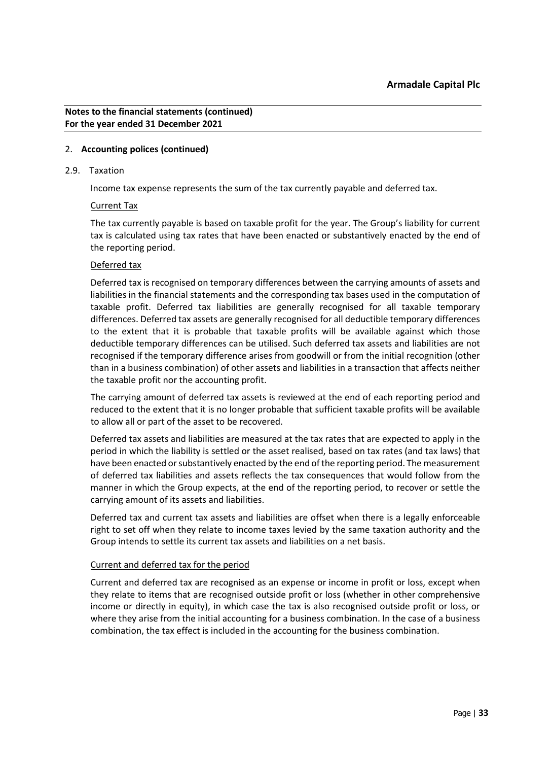# 2. **Accounting polices (continued)**

### 2.9. Taxation

Income tax expense represents the sum of the tax currently payable and deferred tax.

# Current Tax

The tax currently payable is based on taxable profit for the year. The Group's liability for current tax is calculated using tax rates that have been enacted or substantively enacted by the end of the reporting period.

# Deferred tax

Deferred tax is recognised on temporary differences between the carrying amounts of assets and liabilities in the financial statements and the corresponding tax bases used in the computation of taxable profit. Deferred tax liabilities are generally recognised for all taxable temporary differences. Deferred tax assets are generally recognised for all deductible temporary differences to the extent that it is probable that taxable profits will be available against which those deductible temporary differences can be utilised. Such deferred tax assets and liabilities are not recognised if the temporary difference arises from goodwill or from the initial recognition (other than in a business combination) of other assets and liabilities in a transaction that affects neither the taxable profit nor the accounting profit.

The carrying amount of deferred tax assets is reviewed at the end of each reporting period and reduced to the extent that it is no longer probable that sufficient taxable profits will be available to allow all or part of the asset to be recovered.

Deferred tax assets and liabilities are measured at the tax rates that are expected to apply in the period in which the liability is settled or the asset realised, based on tax rates (and tax laws) that have been enacted or substantively enacted by the end of the reporting period. The measurement of deferred tax liabilities and assets reflects the tax consequences that would follow from the manner in which the Group expects, at the end of the reporting period, to recover or settle the carrying amount of its assets and liabilities.

Deferred tax and current tax assets and liabilities are offset when there is a legally enforceable right to set off when they relate to income taxes levied by the same taxation authority and the Group intends to settle its current tax assets and liabilities on a net basis.

# Current and deferred tax for the period

Current and deferred tax are recognised as an expense or income in profit or loss, except when they relate to items that are recognised outside profit or loss (whether in other comprehensive income or directly in equity), in which case the tax is also recognised outside profit or loss, or where they arise from the initial accounting for a business combination. In the case of a business combination, the tax effect is included in the accounting for the business combination.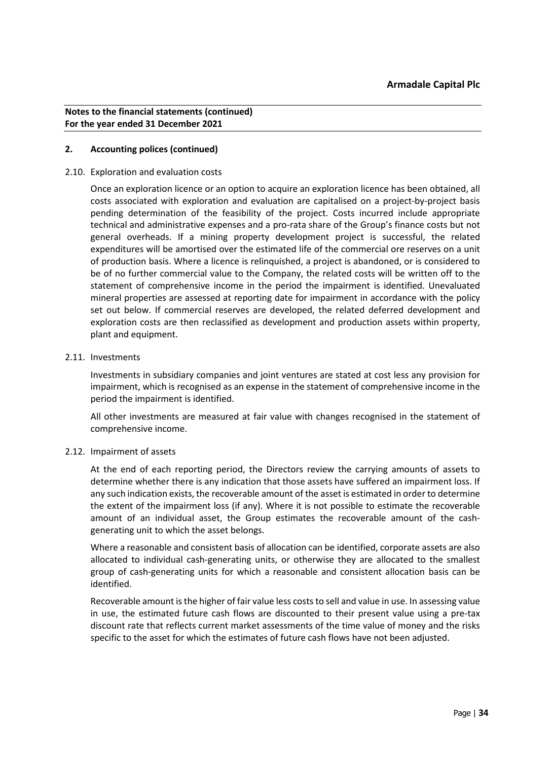# **2. Accounting polices (continued)**

### 2.10. Exploration and evaluation costs

Once an exploration licence or an option to acquire an exploration licence has been obtained, all costs associated with exploration and evaluation are capitalised on a project-by-project basis pending determination of the feasibility of the project. Costs incurred include appropriate technical and administrative expenses and a pro-rata share of the Group's finance costs but not general overheads. If a mining property development project is successful, the related expenditures will be amortised over the estimated life of the commercial ore reserves on a unit of production basis. Where a licence is relinquished, a project is abandoned, or is considered to be of no further commercial value to the Company, the related costs will be written off to the statement of comprehensive income in the period the impairment is identified. Unevaluated mineral properties are assessed at reporting date for impairment in accordance with the policy set out below. If commercial reserves are developed, the related deferred development and exploration costs are then reclassified as development and production assets within property, plant and equipment.

# 2.11. Investments

Investments in subsidiary companies and joint ventures are stated at cost less any provision for impairment, which is recognised as an expense in the statement of comprehensive income in the period the impairment is identified.

All other investments are measured at fair value with changes recognised in the statement of comprehensive income.

# 2.12. Impairment of assets

At the end of each reporting period, the Directors review the carrying amounts of assets to determine whether there is any indication that those assets have suffered an impairment loss. If any such indication exists, the recoverable amount of the asset is estimated in order to determine the extent of the impairment loss (if any). Where it is not possible to estimate the recoverable amount of an individual asset, the Group estimates the recoverable amount of the cashgenerating unit to which the asset belongs.

Where a reasonable and consistent basis of allocation can be identified, corporate assets are also allocated to individual cash-generating units, or otherwise they are allocated to the smallest group of cash-generating units for which a reasonable and consistent allocation basis can be identified.

Recoverable amount is the higher of fair value less costs to sell and value in use. In assessing value in use, the estimated future cash flows are discounted to their present value using a pre-tax discount rate that reflects current market assessments of the time value of money and the risks specific to the asset for which the estimates of future cash flows have not been adjusted.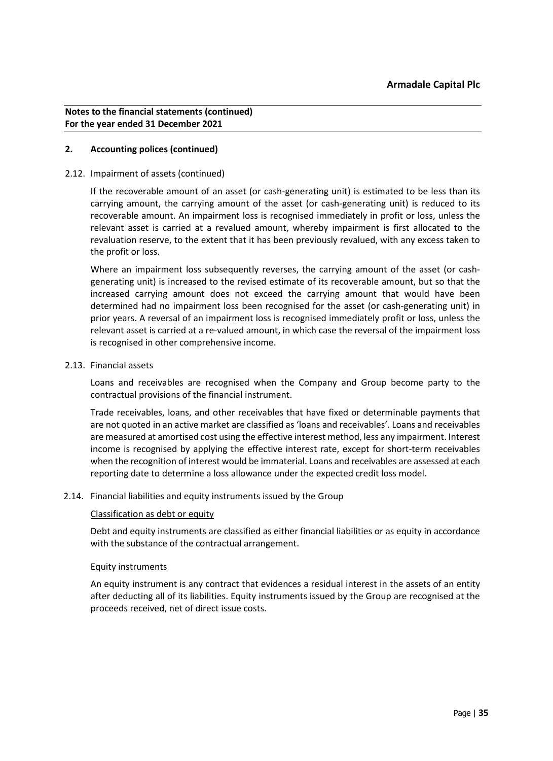# **2. Accounting polices (continued)**

### 2.12. Impairment of assets (continued)

If the recoverable amount of an asset (or cash-generating unit) is estimated to be less than its carrying amount, the carrying amount of the asset (or cash-generating unit) is reduced to its recoverable amount. An impairment loss is recognised immediately in profit or loss, unless the relevant asset is carried at a revalued amount, whereby impairment is first allocated to the revaluation reserve, to the extent that it has been previously revalued, with any excess taken to the profit or loss.

Where an impairment loss subsequently reverses, the carrying amount of the asset (or cashgenerating unit) is increased to the revised estimate of its recoverable amount, but so that the increased carrying amount does not exceed the carrying amount that would have been determined had no impairment loss been recognised for the asset (or cash-generating unit) in prior years. A reversal of an impairment loss is recognised immediately profit or loss, unless the relevant asset is carried at a re-valued amount, in which case the reversal of the impairment loss is recognised in other comprehensive income.

### 2.13. Financial assets

Loans and receivables are recognised when the Company and Group become party to the contractual provisions of the financial instrument.

Trade receivables, loans, and other receivables that have fixed or determinable payments that are not quoted in an active market are classified as 'loans and receivables'. Loans and receivables are measured at amortised cost using the effective interest method, less any impairment. Interest income is recognised by applying the effective interest rate, except for short-term receivables when the recognition of interest would be immaterial. Loans and receivables are assessed at each reporting date to determine a loss allowance under the expected credit loss model.

# 2.14. Financial liabilities and equity instruments issued by the Group

#### Classification as debt or equity

Debt and equity instruments are classified as either financial liabilities or as equity in accordance with the substance of the contractual arrangement.

#### Equity instruments

An equity instrument is any contract that evidences a residual interest in the assets of an entity after deducting all of its liabilities. Equity instruments issued by the Group are recognised at the proceeds received, net of direct issue costs.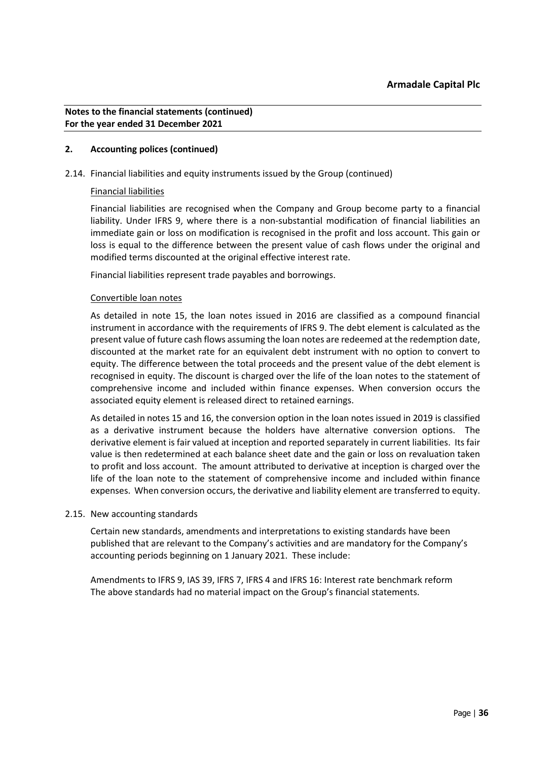# **2. Accounting polices (continued)**

# 2.14. Financial liabilities and equity instruments issued by the Group (continued)

### Financial liabilities

Financial liabilities are recognised when the Company and Group become party to a financial liability. Under IFRS 9, where there is a non-substantial modification of financial liabilities an immediate gain or loss on modification is recognised in the profit and loss account. This gain or loss is equal to the difference between the present value of cash flows under the original and modified terms discounted at the original effective interest rate.

Financial liabilities represent trade payables and borrowings.

### Convertible loan notes

As detailed in note 15, the loan notes issued in 2016 are classified as a compound financial instrument in accordance with the requirements of IFRS 9. The debt element is calculated as the present value of future cash flows assuming the loan notes are redeemed at the redemption date, discounted at the market rate for an equivalent debt instrument with no option to convert to equity. The difference between the total proceeds and the present value of the debt element is recognised in equity. The discount is charged over the life of the loan notes to the statement of comprehensive income and included within finance expenses. When conversion occurs the associated equity element is released direct to retained earnings.

As detailed in notes 15 and 16, the conversion option in the loan notes issued in 2019 is classified as a derivative instrument because the holders have alternative conversion options. The derivative element is fair valued at inception and reported separately in current liabilities. Its fair value is then redetermined at each balance sheet date and the gain or loss on revaluation taken to profit and loss account. The amount attributed to derivative at inception is charged over the life of the loan note to the statement of comprehensive income and included within finance expenses. When conversion occurs, the derivative and liability element are transferred to equity.

#### 2.15. New accounting standards

Certain new standards, amendments and interpretations to existing standards have been published that are relevant to the Company's activities and are mandatory for the Company's accounting periods beginning on 1 January 2021. These include:

Amendments to IFRS 9, IAS 39, IFRS 7, IFRS 4 and IFRS 16: Interest rate benchmark reform The above standards had no material impact on the Group's financial statements.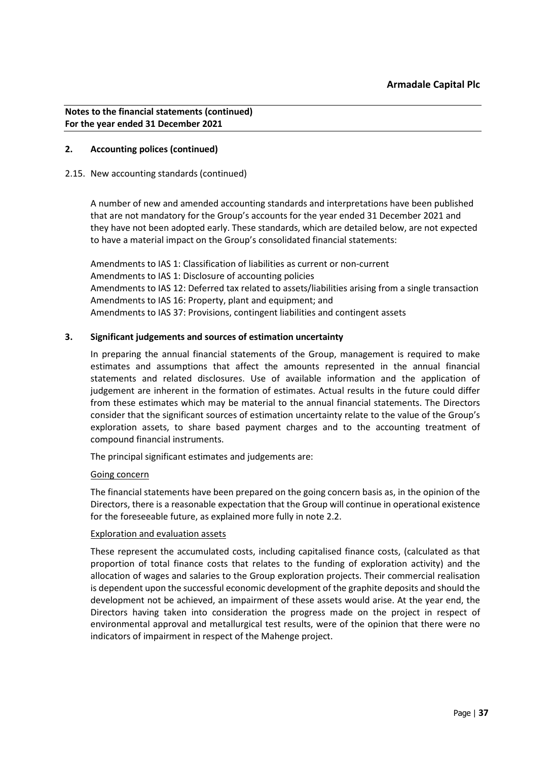# **2. Accounting polices (continued)**

### 2.15. New accounting standards (continued)

A number of new and amended accounting standards and interpretations have been published that are not mandatory for the Group's accounts for the year ended 31 December 2021 and they have not been adopted early. These standards, which are detailed below, are not expected to have a material impact on the Group's consolidated financial statements:

Amendments to IAS 1: Classification of liabilities as current or non-current Amendments to IAS 1: Disclosure of accounting policies Amendments to IAS 12: Deferred tax related to assets/liabilities arising from a single transaction Amendments to IAS 16: Property, plant and equipment; and Amendments to IAS 37: Provisions, contingent liabilities and contingent assets

### **3. Significant judgements and sources of estimation uncertainty**

In preparing the annual financial statements of the Group, management is required to make estimates and assumptions that affect the amounts represented in the annual financial statements and related disclosures. Use of available information and the application of judgement are inherent in the formation of estimates. Actual results in the future could differ from these estimates which may be material to the annual financial statements. The Directors consider that the significant sources of estimation uncertainty relate to the value of the Group's exploration assets, to share based payment charges and to the accounting treatment of compound financial instruments.

The principal significant estimates and judgements are:

#### Going concern

The financial statements have been prepared on the going concern basis as, in the opinion of the Directors, there is a reasonable expectation that the Group will continue in operational existence for the foreseeable future, as explained more fully in note 2.2.

# Exploration and evaluation assets

These represent the accumulated costs, including capitalised finance costs, (calculated as that proportion of total finance costs that relates to the funding of exploration activity) and the allocation of wages and salaries to the Group exploration projects. Their commercial realisation is dependent upon the successful economic development of the graphite deposits and should the development not be achieved, an impairment of these assets would arise. At the year end, the Directors having taken into consideration the progress made on the project in respect of environmental approval and metallurgical test results, were of the opinion that there were no indicators of impairment in respect of the Mahenge project.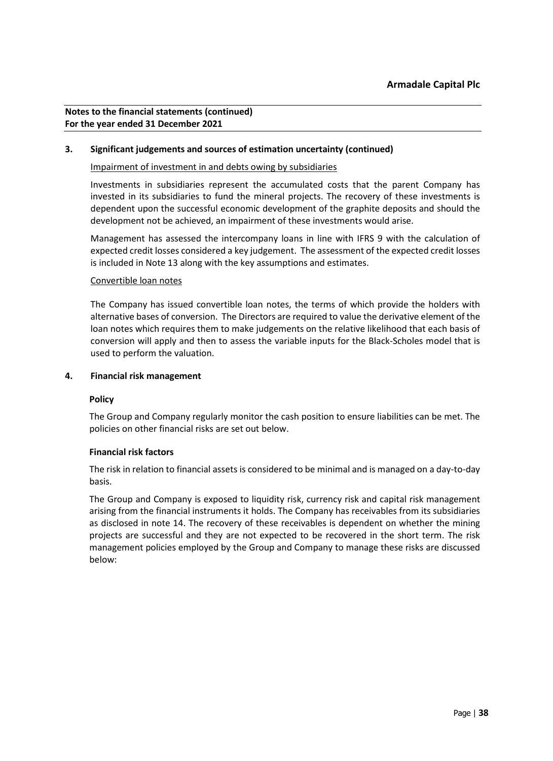# **3. Significant judgements and sources of estimation uncertainty (continued)**

# Impairment of investment in and debts owing by subsidiaries

Investments in subsidiaries represent the accumulated costs that the parent Company has invested in its subsidiaries to fund the mineral projects. The recovery of these investments is dependent upon the successful economic development of the graphite deposits and should the development not be achieved, an impairment of these investments would arise.

Management has assessed the intercompany loans in line with IFRS 9 with the calculation of expected credit losses considered a key judgement. The assessment of the expected credit losses is included in Note 13 along with the key assumptions and estimates.

### Convertible loan notes

The Company has issued convertible loan notes, the terms of which provide the holders with alternative bases of conversion. The Directors are required to value the derivative element of the loan notes which requires them to make judgements on the relative likelihood that each basis of conversion will apply and then to assess the variable inputs for the Black-Scholes model that is used to perform the valuation.

#### **4. Financial risk management**

# **Policy**

The Group and Company regularly monitor the cash position to ensure liabilities can be met. The policies on other financial risks are set out below.

# **Financial risk factors**

The risk in relation to financial assets is considered to be minimal and is managed on a day-to-day basis.

The Group and Company is exposed to liquidity risk, currency risk and capital risk management arising from the financial instruments it holds. The Company has receivables from its subsidiaries as disclosed in note 14. The recovery of these receivables is dependent on whether the mining projects are successful and they are not expected to be recovered in the short term. The risk management policies employed by the Group and Company to manage these risks are discussed below: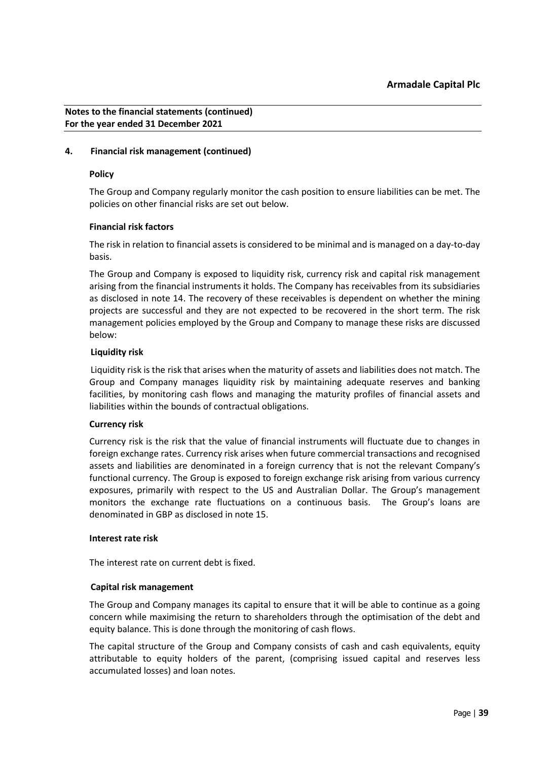# **4. Financial risk management (continued)**

#### **Policy**

The Group and Company regularly monitor the cash position to ensure liabilities can be met. The policies on other financial risks are set out below.

### **Financial risk factors**

The risk in relation to financial assets is considered to be minimal and is managed on a day-to-day basis.

The Group and Company is exposed to liquidity risk, currency risk and capital risk management arising from the financial instruments it holds. The Company has receivables from its subsidiaries as disclosed in note 14. The recovery of these receivables is dependent on whether the mining projects are successful and they are not expected to be recovered in the short term. The risk management policies employed by the Group and Company to manage these risks are discussed below:

### **Liquidity risk**

Liquidity risk is the risk that arises when the maturity of assets and liabilities does not match. The Group and Company manages liquidity risk by maintaining adequate reserves and banking facilities, by monitoring cash flows and managing the maturity profiles of financial assets and liabilities within the bounds of contractual obligations.

# **Currency risk**

Currency risk is the risk that the value of financial instruments will fluctuate due to changes in foreign exchange rates. Currency risk arises when future commercial transactions and recognised assets and liabilities are denominated in a foreign currency that is not the relevant Company's functional currency. The Group is exposed to foreign exchange risk arising from various currency exposures, primarily with respect to the US and Australian Dollar. The Group's management monitors the exchange rate fluctuations on a continuous basis. The Group's loans are denominated in GBP as disclosed in note 15.

# **Interest rate risk**

The interest rate on current debt is fixed.

#### **Capital risk management**

The Group and Company manages its capital to ensure that it will be able to continue as a going concern while maximising the return to shareholders through the optimisation of the debt and equity balance. This is done through the monitoring of cash flows.

The capital structure of the Group and Company consists of cash and cash equivalents, equity attributable to equity holders of the parent, (comprising issued capital and reserves less accumulated losses) and loan notes.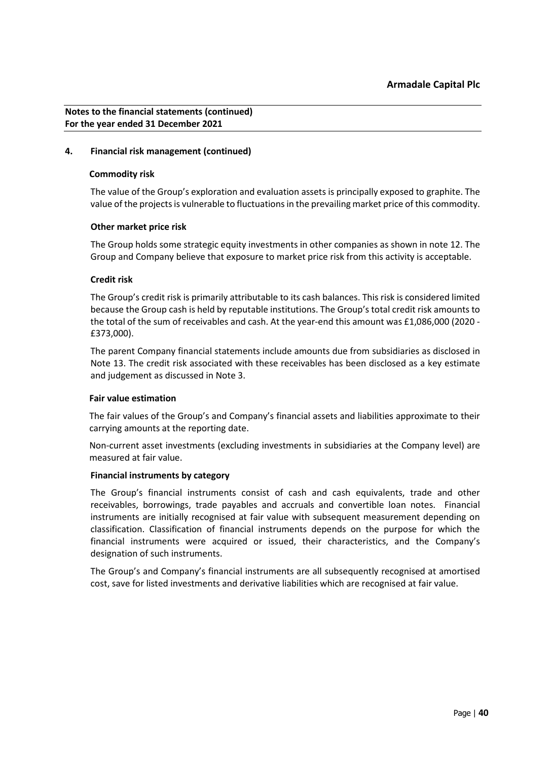### **4. Financial risk management (continued)**

#### **Commodity risk**

The value of the Group's exploration and evaluation assets is principally exposed to graphite. The value of the projects is vulnerable to fluctuations in the prevailing market price of this commodity.

### **Other market price risk**

The Group holds some strategic equity investments in other companies as shown in note 12. The Group and Company believe that exposure to market price risk from this activity is acceptable.

### **Credit risk**

The Group's credit risk is primarily attributable to its cash balances. This risk is considered limited because the Group cash is held by reputable institutions. The Group's total credit risk amounts to the total of the sum of receivables and cash. At the year-end this amount was £1,086,000 (2020 -£373,000).

The parent Company financial statements include amounts due from subsidiaries as disclosed in Note 13. The credit risk associated with these receivables has been disclosed as a key estimate and judgement as discussed in Note 3.

#### **Fair value estimation**

The fair values of the Group's and Company's financial assets and liabilities approximate to their carrying amounts at the reporting date.

Non-current asset investments (excluding investments in subsidiaries at the Company level) are measured at fair value.

#### **Financial instruments by category**

The Group's financial instruments consist of cash and cash equivalents, trade and other receivables, borrowings, trade payables and accruals and convertible loan notes. Financial instruments are initially recognised at fair value with subsequent measurement depending on classification. Classification of financial instruments depends on the purpose for which the financial instruments were acquired or issued, their characteristics, and the Company's designation of such instruments.

The Group's and Company's financial instruments are all subsequently recognised at amortised cost, save for listed investments and derivative liabilities which are recognised at fair value.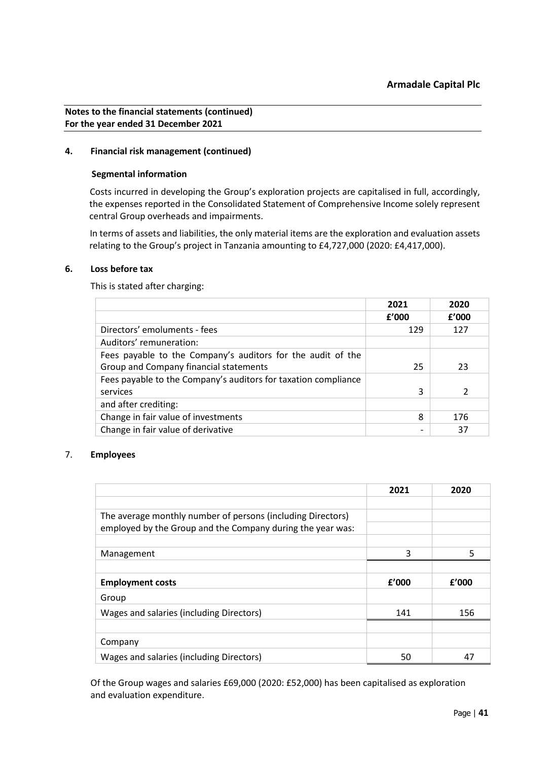# **4. Financial risk management (continued)**

### **Segmental information**

Costs incurred in developing the Group's exploration projects are capitalised in full, accordingly, the expenses reported in the Consolidated Statement of Comprehensive Income solely represent central Group overheads and impairments.

In terms of assets and liabilities, the only material items are the exploration and evaluation assets relating to the Group's project in Tanzania amounting to £4,727,000 (2020: £4,417,000).

# **6. Loss before tax**

This is stated after charging:

|                                                                | 2021  | 2020  |
|----------------------------------------------------------------|-------|-------|
|                                                                | f'000 | f'000 |
| Directors' emoluments - fees                                   | 129   | 127   |
| Auditors' remuneration:                                        |       |       |
| Fees payable to the Company's auditors for the audit of the    |       |       |
| Group and Company financial statements                         | 25    | 23    |
| Fees payable to the Company's auditors for taxation compliance |       |       |
| services                                                       | 3     |       |
| and after crediting:                                           |       |       |
| Change in fair value of investments                            | 8     | 176   |
| Change in fair value of derivative                             |       | 37    |

# 7. **Employees**

|                                                                                                                           | 2021  | 2020  |
|---------------------------------------------------------------------------------------------------------------------------|-------|-------|
|                                                                                                                           |       |       |
| The average monthly number of persons (including Directors)<br>employed by the Group and the Company during the year was: |       |       |
|                                                                                                                           |       |       |
| Management                                                                                                                | 3     | 5     |
|                                                                                                                           |       |       |
| <b>Employment costs</b>                                                                                                   | f'000 | f'000 |
| Group                                                                                                                     |       |       |
| Wages and salaries (including Directors)                                                                                  | 141   | 156   |
|                                                                                                                           |       |       |
| Company                                                                                                                   |       |       |
| Wages and salaries (including Directors)                                                                                  | 50    | 47    |

Of the Group wages and salaries £69,000 (2020: £52,000) has been capitalised as exploration and evaluation expenditure.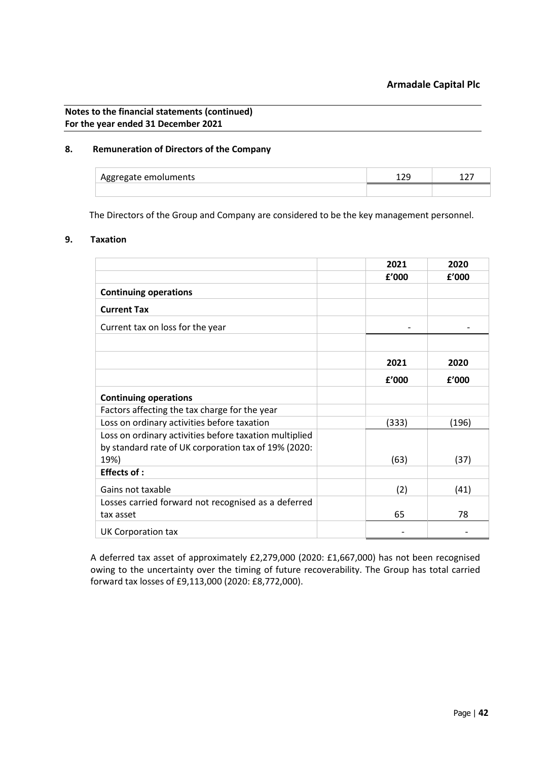# **8. Remuneration of Directors of the Company**

| Aggregate emoluments | --- | -- |
|----------------------|-----|----|
|                      |     |    |

The Directors of the Group and Company are considered to be the key management personnel.

#### **9. Taxation**

|                                                                                                                        | 2021  | 2020  |
|------------------------------------------------------------------------------------------------------------------------|-------|-------|
|                                                                                                                        | £'000 | £'000 |
| <b>Continuing operations</b>                                                                                           |       |       |
| <b>Current Tax</b>                                                                                                     |       |       |
| Current tax on loss for the year                                                                                       |       |       |
|                                                                                                                        |       |       |
|                                                                                                                        | 2021  | 2020  |
|                                                                                                                        | f'000 | f'000 |
| <b>Continuing operations</b>                                                                                           |       |       |
| Factors affecting the tax charge for the year                                                                          |       |       |
| Loss on ordinary activities before taxation                                                                            | (333) | (196) |
| Loss on ordinary activities before taxation multiplied<br>by standard rate of UK corporation tax of 19% (2020:<br>19%) | (63)  | (37)  |
| <b>Effects of:</b>                                                                                                     |       |       |
| Gains not taxable                                                                                                      | (2)   | (41)  |
| Losses carried forward not recognised as a deferred<br>tax asset                                                       | 65    | 78    |
| UK Corporation tax                                                                                                     |       |       |

A deferred tax asset of approximately £2,279,000 (2020: £1,667,000) has not been recognised owing to the uncertainty over the timing of future recoverability. The Group has total carried forward tax losses of £9,113,000 (2020: £8,772,000).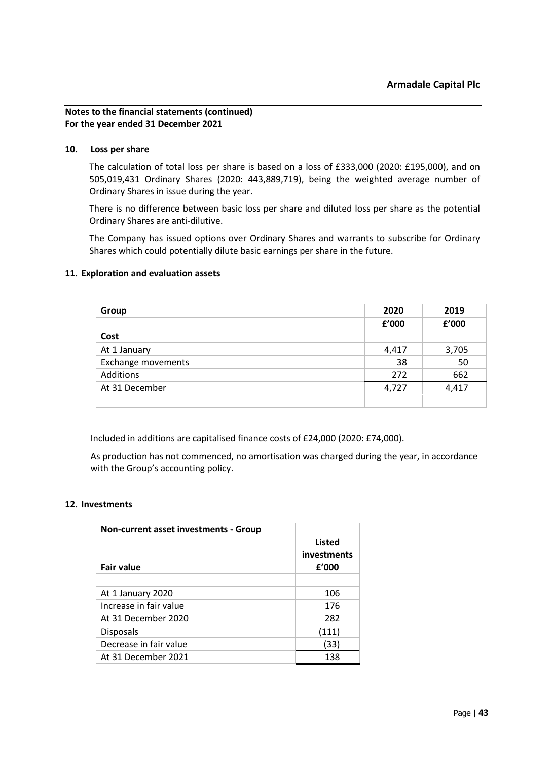### **10. Loss per share**

The calculation of total loss per share is based on a loss of £333,000 (2020: £195,000), and on 505,019,431 Ordinary Shares (2020: 443,889,719), being the weighted average number of Ordinary Shares in issue during the year.

There is no difference between basic loss per share and diluted loss per share as the potential Ordinary Shares are anti-dilutive.

The Company has issued options over Ordinary Shares and warrants to subscribe for Ordinary Shares which could potentially dilute basic earnings per share in the future.

### **11. Exploration and evaluation assets**

| Group                     | 2020  | 2019  |
|---------------------------|-------|-------|
|                           | £'000 | £'000 |
| Cost                      |       |       |
| At 1 January              | 4,417 | 3,705 |
| <b>Exchange movements</b> | 38    | 50    |
| Additions                 | 272   | 662   |
| At 31 December            | 4,727 | 4,417 |
|                           |       |       |

Included in additions are capitalised finance costs of £24,000 (2020: £74,000).

As production has not commenced, no amortisation was charged during the year, in accordance with the Group's accounting policy.

#### **12. Investments**

| <b>Non-current asset investments - Group</b> |                              |
|----------------------------------------------|------------------------------|
|                                              | <b>Listed</b><br>investments |
| <b>Fair value</b>                            | f'000                        |
|                                              |                              |
| At 1 January 2020                            | 106                          |
| Increase in fair value                       | 176                          |
| At 31 December 2020                          | 282                          |
| <b>Disposals</b>                             | (111)                        |
| Decrease in fair value                       | (33)                         |
| At 31 December 2021                          | 138                          |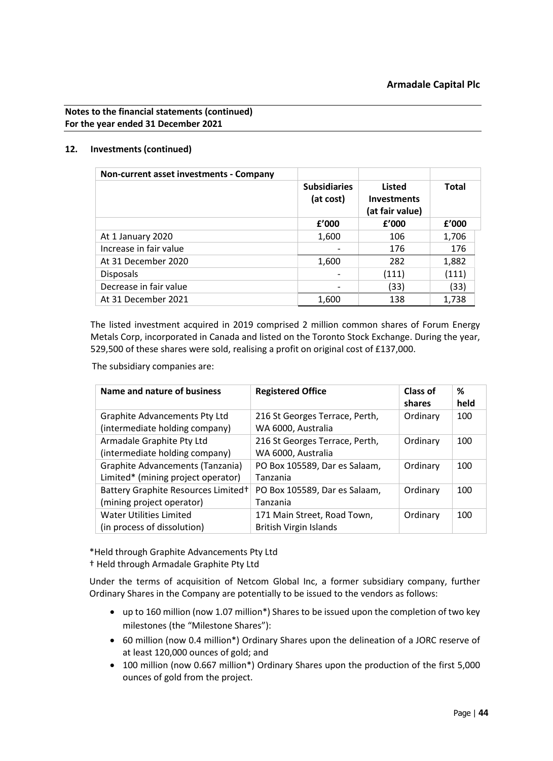# **12. Investments (continued)**

| Non-current asset investments - Company |                                  |                                                 |       |
|-----------------------------------------|----------------------------------|-------------------------------------------------|-------|
|                                         | <b>Subsidiaries</b><br>(at cost) | Listed<br><b>Investments</b><br>(at fair value) | Total |
|                                         | f'000                            | f'000                                           | f'000 |
| At 1 January 2020                       | 1,600                            | 106                                             | 1,706 |
| Increase in fair value                  |                                  | 176                                             | 176   |
| At 31 December 2020                     | 1,600                            | 282                                             | 1,882 |
| <b>Disposals</b>                        |                                  | (111)                                           | (111) |
| Decrease in fair value                  |                                  | (33)                                            | (33)  |
| At 31 December 2021                     | 1,600                            | 138                                             | 1,738 |

The listed investment acquired in 2019 comprised 2 million common shares of Forum Energy Metals Corp, incorporated in Canada and listed on the Toronto Stock Exchange. During the year, 529,500 of these shares were sold, realising a profit on original cost of £137,000.

The subsidiary companies are:

| Name and nature of business                                            | <b>Registered Office</b>                                     | <b>Class of</b><br>shares | %<br>held |
|------------------------------------------------------------------------|--------------------------------------------------------------|---------------------------|-----------|
| <b>Graphite Advancements Pty Ltd</b><br>(intermediate holding company) | 216 St Georges Terrace, Perth,<br>WA 6000, Australia         | Ordinary                  | 100       |
| Armadale Graphite Pty Ltd<br>(intermediate holding company)            | 216 St Georges Terrace, Perth,<br>WA 6000, Australia         | Ordinary                  | 100       |
| Graphite Advancements (Tanzania)<br>Limited* (mining project operator) | PO Box 105589, Dar es Salaam,<br>Tanzania                    | Ordinary                  | 100       |
| Battery Graphite Resources Limited+<br>(mining project operator)       | PO Box 105589, Dar es Salaam,<br>Tanzania                    | Ordinary                  | 100       |
| <b>Water Utilities Limited</b><br>(in process of dissolution)          | 171 Main Street, Road Town,<br><b>British Virgin Islands</b> | Ordinary                  | 100       |

\*Held through Graphite Advancements Pty Ltd

† Held through Armadale Graphite Pty Ltd

Under the terms of acquisition of Netcom Global Inc, a former subsidiary company, further Ordinary Shares in the Company are potentially to be issued to the vendors as follows:

- up to 160 million (now 1.07 million\*) Shares to be issued upon the completion of two key milestones (the "Milestone Shares"):
- 60 million (now 0.4 million\*) Ordinary Shares upon the delineation of a JORC reserve of at least 120,000 ounces of gold; and
- 100 million (now 0.667 million\*) Ordinary Shares upon the production of the first 5,000 ounces of gold from the project.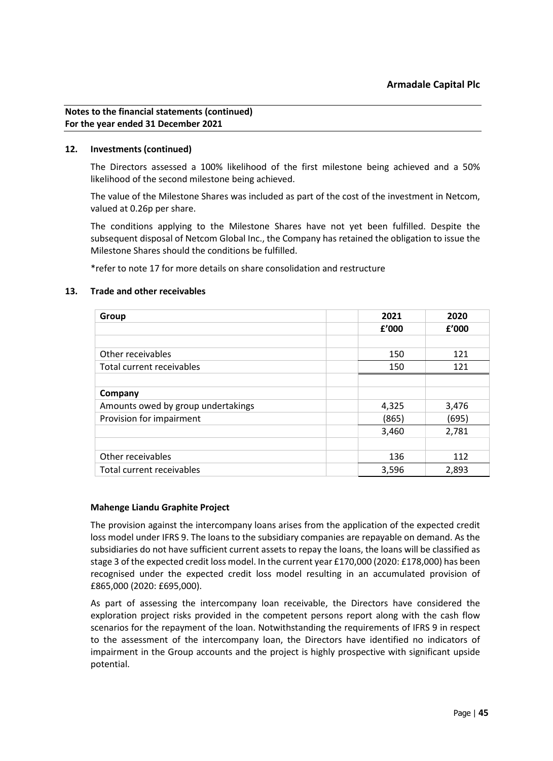### **12. Investments (continued)**

The Directors assessed a 100% likelihood of the first milestone being achieved and a 50% likelihood of the second milestone being achieved.

The value of the Milestone Shares was included as part of the cost of the investment in Netcom, valued at 0.26p per share.

The conditions applying to the Milestone Shares have not yet been fulfilled. Despite the subsequent disposal of Netcom Global Inc., the Company has retained the obligation to issue the Milestone Shares should the conditions be fulfilled.

\*refer to note 17 for more details on share consolidation and restructure

### **13. Trade and other receivables**

| Group                              | 2021  | 2020  |
|------------------------------------|-------|-------|
|                                    | £'000 | f'000 |
|                                    |       |       |
| Other receivables                  | 150   | 121   |
| Total current receivables          | 150   | 121   |
|                                    |       |       |
| Company                            |       |       |
| Amounts owed by group undertakings | 4,325 | 3,476 |
| Provision for impairment           | (865) | (695) |
|                                    | 3,460 | 2,781 |
|                                    |       |       |
| Other receivables                  | 136   | 112   |
| Total current receivables          | 3,596 | 2,893 |

# **Mahenge Liandu Graphite Project**

The provision against the intercompany loans arises from the application of the expected credit loss model under IFRS 9. The loans to the subsidiary companies are repayable on demand. As the subsidiaries do not have sufficient current assets to repay the loans, the loans will be classified as stage 3 of the expected credit loss model. In the current year £170,000 (2020: £178,000) has been recognised under the expected credit loss model resulting in an accumulated provision of £865,000 (2020: £695,000).

As part of assessing the intercompany loan receivable, the Directors have considered the exploration project risks provided in the competent persons report along with the cash flow scenarios for the repayment of the loan. Notwithstanding the requirements of IFRS 9 in respect to the assessment of the intercompany loan, the Directors have identified no indicators of impairment in the Group accounts and the project is highly prospective with significant upside potential.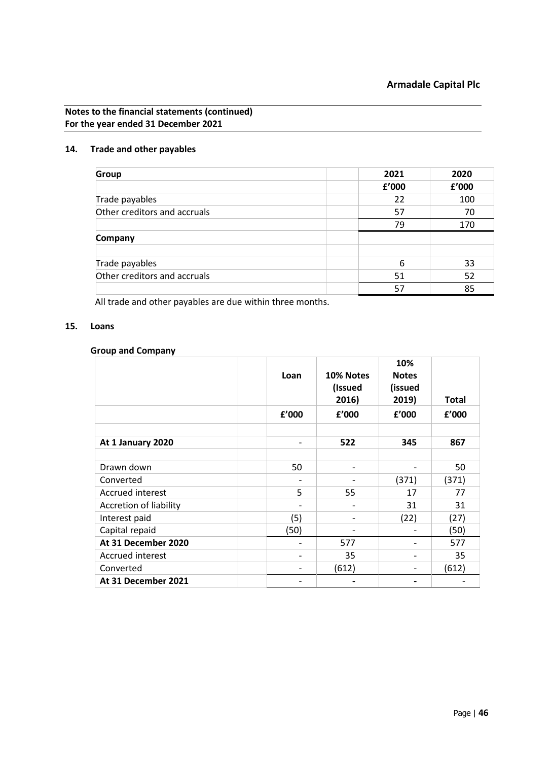# **14. Trade and other payables**

| <b>Group</b>                 | 2021  |    | 2020  |
|------------------------------|-------|----|-------|
|                              | £'000 |    | £'000 |
| Trade payables               | 22    |    | 100   |
| Other creditors and accruals | 57    |    | 70    |
|                              |       | 79 | 170   |
| Company                      |       |    |       |
|                              |       |    |       |
| Trade payables               |       | 6  | 33    |
| Other creditors and accruals | 51    |    | 52    |
|                              | 57    |    | 85    |

All trade and other payables are due within three months.

# **15. Loans**

### **Group and Company**

|                        | Loan  | 10% Notes<br>(Issued<br>2016) | 10%<br><b>Notes</b><br>(issued<br>2019) | <b>Total</b> |
|------------------------|-------|-------------------------------|-----------------------------------------|--------------|
|                        | f'000 | f'000                         | f'000                                   | f'000        |
| At 1 January 2020      |       | 522                           | 345                                     | 867          |
| Drawn down             | 50    |                               |                                         | 50           |
| Converted              |       |                               | (371)                                   | (371)        |
| Accrued interest       | 5     | 55                            | 17                                      | 77           |
| Accretion of liability |       | $\qquad \qquad \blacksquare$  | 31                                      | 31           |
| Interest paid          | (5)   |                               | (22)                                    | (27)         |
| Capital repaid         | (50)  |                               |                                         | (50)         |
| At 31 December 2020    |       | 577                           |                                         | 577          |
| Accrued interest       |       | 35                            |                                         | 35           |
| Converted              |       | (612)                         |                                         | (612)        |
| At 31 December 2021    |       |                               |                                         |              |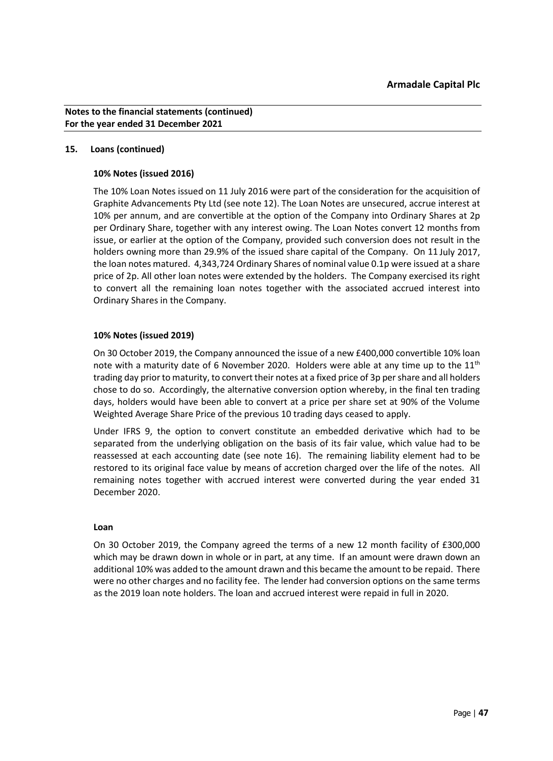# **15. Loans (continued)**

# **10% Notes (issued 2016)**

The 10% Loan Notes issued on 11 July 2016 were part of the consideration for the acquisition of Graphite Advancements Pty Ltd (see note 12). The Loan Notes are unsecured, accrue interest at 10% per annum, and are convertible at the option of the Company into Ordinary Shares at 2p per Ordinary Share, together with any interest owing. The Loan Notes convert 12 months from issue, or earlier at the option of the Company, provided such conversion does not result in the holders owning more than 29.9% of the issued share capital of the Company. On 11 July 2017, the loan notes matured. 4,343,724 Ordinary Shares of nominal value 0.1p were issued at a share price of 2p. All other loan notes were extended by the holders. The Company exercised its right to convert all the remaining loan notes together with the associated accrued interest into Ordinary Shares in the Company.

### **10% Notes (issued 2019)**

On 30 October 2019, the Company announced the issue of a new £400,000 convertible 10% loan note with a maturity date of 6 November 2020. Holders were able at any time up to the  $11<sup>th</sup>$ trading day prior to maturity, to convert their notes at a fixed price of 3p per share and all holders chose to do so. Accordingly, the alternative conversion option whereby, in the final ten trading days, holders would have been able to convert at a price per share set at 90% of the Volume Weighted Average Share Price of the previous 10 trading days ceased to apply.

Under IFRS 9, the option to convert constitute an embedded derivative which had to be separated from the underlying obligation on the basis of its fair value, which value had to be reassessed at each accounting date (see note 16). The remaining liability element had to be restored to its original face value by means of accretion charged over the life of the notes. All remaining notes together with accrued interest were converted during the year ended 31 December 2020.

#### **Loan**

On 30 October 2019, the Company agreed the terms of a new 12 month facility of £300,000 which may be drawn down in whole or in part, at any time. If an amount were drawn down an additional 10% was added to the amount drawn and this became the amount to be repaid. There were no other charges and no facility fee. The lender had conversion options on the same terms as the 2019 loan note holders. The loan and accrued interest were repaid in full in 2020.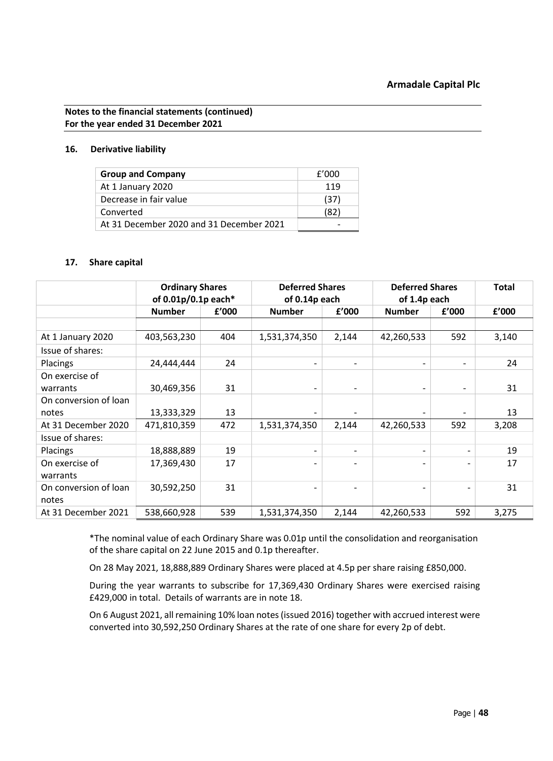### **16. Derivative liability**

| <b>Group and Company</b>                 | f'000 |
|------------------------------------------|-------|
| At 1 January 2020                        | 119   |
| Decrease in fair value                   | (37)  |
| Converted                                | (82)  |
| At 31 December 2020 and 31 December 2021 |       |

### **17. Share capital**

|                       | <b>Ordinary Shares</b><br>of 0.01p/0.1p each* |       | <b>Deferred Shares</b><br>of 0.14p each |                          | <b>Deferred Shares</b><br>of 1.4p each |       | <b>Total</b> |
|-----------------------|-----------------------------------------------|-------|-----------------------------------------|--------------------------|----------------------------------------|-------|--------------|
|                       | <b>Number</b>                                 | £'000 | <b>Number</b>                           | f'000                    | <b>Number</b>                          | £'000 | f'000        |
|                       |                                               |       |                                         |                          |                                        |       |              |
| At 1 January 2020     | 403,563,230                                   | 404   | 1,531,374,350                           | 2,144                    | 42,260,533                             | 592   | 3,140        |
| Issue of shares:      |                                               |       |                                         |                          |                                        |       |              |
| Placings              | 24,444,444                                    | 24    | $\overline{\phantom{a}}$                |                          | $\overline{\phantom{0}}$               |       | 24           |
| On exercise of        |                                               |       |                                         |                          |                                        |       |              |
| warrants              | 30,469,356                                    | 31    | $\overline{\phantom{a}}$                | $\overline{\phantom{a}}$ | $\overline{\phantom{a}}$               |       | 31           |
| On conversion of loan |                                               |       |                                         |                          |                                        |       |              |
| notes                 | 13,333,329                                    | 13    | $\overline{\phantom{0}}$                |                          |                                        |       | 13           |
| At 31 December 2020   | 471,810,359                                   | 472   | 1,531,374,350                           | 2,144                    | 42,260,533                             | 592   | 3,208        |
| Issue of shares:      |                                               |       |                                         |                          |                                        |       |              |
| <b>Placings</b>       | 18,888,889                                    | 19    | $\overline{\phantom{a}}$                | $\overline{\phantom{0}}$ | $\overline{\phantom{a}}$               |       | 19           |
| On exercise of        | 17,369,430                                    | 17    | $\overline{\phantom{a}}$                |                          |                                        |       | 17           |
| warrants              |                                               |       |                                         |                          |                                        |       |              |
| On conversion of loan | 30,592,250                                    | 31    | $\qquad \qquad \blacksquare$            | $\overline{\phantom{0}}$ | $\overline{\phantom{0}}$               |       | 31           |
| notes                 |                                               |       |                                         |                          |                                        |       |              |
| At 31 December 2021   | 538,660,928                                   | 539   | 1,531,374,350                           | 2,144                    | 42,260,533                             | 592   | 3,275        |

\*The nominal value of each Ordinary Share was 0.01p until the consolidation and reorganisation of the share capital on 22 June 2015 and 0.1p thereafter.

On 28 May 2021, 18,888,889 Ordinary Shares were placed at 4.5p per share raising £850,000.

During the year warrants to subscribe for 17,369,430 Ordinary Shares were exercised raising £429,000 in total. Details of warrants are in note 18.

On 6 August 2021, all remaining 10% loan notes (issued 2016) together with accrued interest were converted into 30,592,250 Ordinary Shares at the rate of one share for every 2p of debt.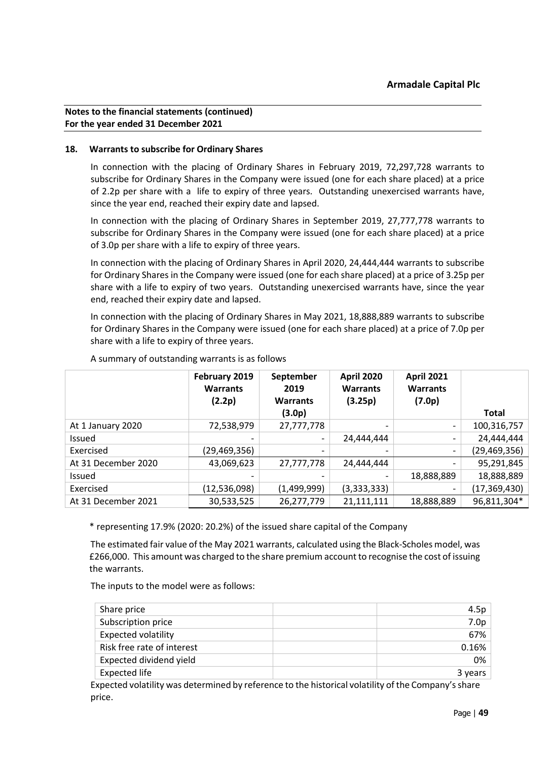# **18. Warrants to subscribe for Ordinary Shares**

In connection with the placing of Ordinary Shares in February 2019, 72,297,728 warrants to subscribe for Ordinary Shares in the Company were issued (one for each share placed) at a price of 2.2p per share with a life to expiry of three years. Outstanding unexercised warrants have, since the year end, reached their expiry date and lapsed.

In connection with the placing of Ordinary Shares in September 2019, 27,777,778 warrants to subscribe for Ordinary Shares in the Company were issued (one for each share placed) at a price of 3.0p per share with a life to expiry of three years.

In connection with the placing of Ordinary Shares in April 2020, 24,444,444 warrants to subscribe for Ordinary Shares in the Company were issued (one for each share placed) at a price of 3.25p per share with a life to expiry of two years. Outstanding unexercised warrants have, since the year end, reached their expiry date and lapsed.

In connection with the placing of Ordinary Shares in May 2021, 18,888,889 warrants to subscribe for Ordinary Shares in the Company were issued (one for each share placed) at a price of 7.0p per share with a life to expiry of three years.

|                     | February 2019<br><b>Warrants</b><br>(2.2p) | September<br>2019<br><b>Warrants</b><br>(3.0p) | <b>April 2020</b><br><b>Warrants</b><br>(3.25p) | <b>April 2021</b><br><b>Warrants</b><br>(7.0p) | <b>Total</b>   |
|---------------------|--------------------------------------------|------------------------------------------------|-------------------------------------------------|------------------------------------------------|----------------|
| At 1 January 2020   | 72,538,979                                 | 27,777,778                                     |                                                 |                                                | 100,316,757    |
| Issued              | -                                          |                                                | 24,444,444                                      | $\overline{\phantom{0}}$                       | 24,444,444     |
| Exercised           | (29,469,356)                               |                                                |                                                 | $\overline{\phantom{a}}$                       | (29, 469, 356) |
| At 31 December 2020 | 43,069,623                                 | 27,777,778                                     | 24,444,444                                      | -                                              | 95,291,845     |
| <b>Issued</b>       |                                            |                                                |                                                 | 18,888,889                                     | 18,888,889     |
| Exercised           | (12,536,098)                               | (1,499,999)                                    | (3,333,333)                                     |                                                | (17, 369, 430) |
| At 31 December 2021 | 30,533,525                                 | 26,277,779                                     | 21,111,111                                      | 18,888,889                                     | 96,811,304*    |

A summary of outstanding warrants is as follows

\* representing 17.9% (2020: 20.2%) of the issued share capital of the Company

The estimated fair value of the May 2021 warrants, calculated using the Black-Scholes model, was £266,000. This amount was charged to the share premium account to recognise the cost of issuing the warrants.

The inputs to the model were as follows:

| Share price                | 4.5p             |
|----------------------------|------------------|
| Subscription price         | 7.0 <sub>p</sub> |
| <b>Expected volatility</b> | 67%              |
| Risk free rate of interest | 0.16%            |
| Expected dividend yield    | 0%               |
| Expected life              | 3 years          |
|                            |                  |

Expected volatility was determined by reference to the historical volatility of the Company's share price.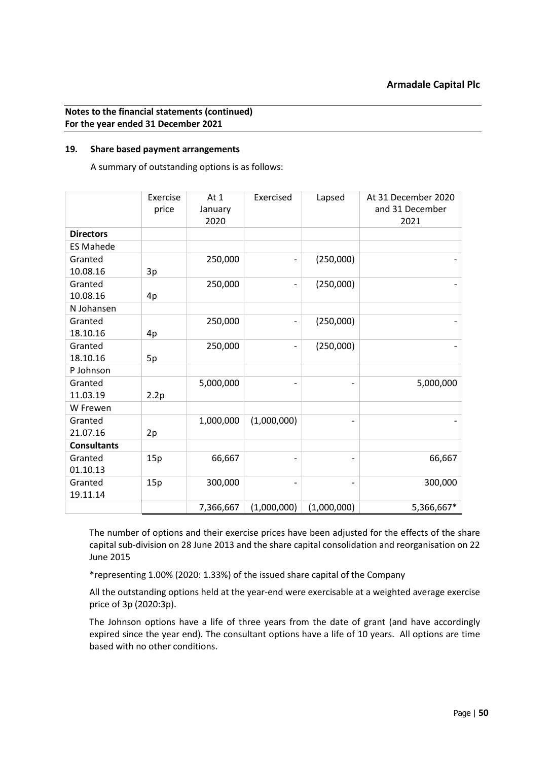# **19. Share based payment arrangements**

A summary of outstanding options is as follows:

|                     | Exercise<br>price | At 1<br>January<br>2020 | Exercised                | Lapsed      | At 31 December 2020<br>and 31 December<br>2021 |
|---------------------|-------------------|-------------------------|--------------------------|-------------|------------------------------------------------|
| <b>Directors</b>    |                   |                         |                          |             |                                                |
| <b>ES Mahede</b>    |                   |                         |                          |             |                                                |
| Granted<br>10.08.16 | 3p                | 250,000                 |                          | (250,000)   |                                                |
| Granted<br>10.08.16 | 4p                | 250,000                 |                          | (250,000)   |                                                |
| N Johansen          |                   |                         |                          |             |                                                |
| Granted<br>18.10.16 | 4p                | 250,000                 |                          | (250,000)   |                                                |
| Granted<br>18.10.16 | 5p                | 250,000                 | $\overline{\phantom{0}}$ | (250,000)   |                                                |
| P Johnson           |                   |                         |                          |             |                                                |
| Granted<br>11.03.19 | 2.2p              | 5,000,000               |                          | -           | 5,000,000                                      |
| W Frewen            |                   |                         |                          |             |                                                |
| Granted<br>21.07.16 | 2p                | 1,000,000               | (1,000,000)              | -           |                                                |
| <b>Consultants</b>  |                   |                         |                          |             |                                                |
| Granted<br>01.10.13 | 15p               | 66,667                  |                          | -           | 66,667                                         |
| Granted<br>19.11.14 | 15p               | 300,000                 |                          | -           | 300,000                                        |
|                     |                   | 7,366,667               | (1,000,000)              | (1,000,000) | 5,366,667*                                     |

The number of options and their exercise prices have been adjusted for the effects of the share capital sub-division on 28 June 2013 and the share capital consolidation and reorganisation on 22 June 2015

\*representing 1.00% (2020: 1.33%) of the issued share capital of the Company

All the outstanding options held at the year-end were exercisable at a weighted average exercise price of 3p (2020:3p).

The Johnson options have a life of three years from the date of grant (and have accordingly expired since the year end). The consultant options have a life of 10 years. All options are time based with no other conditions.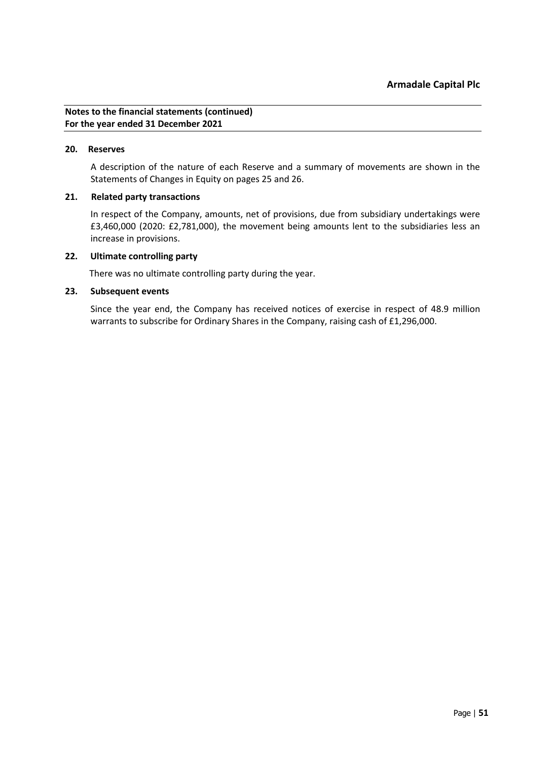#### **20. Reserves**

A description of the nature of each Reserve and a summary of movements are shown in the Statements of Changes in Equity on pages 25 and 26.

# **21. Related party transactions**

In respect of the Company, amounts, net of provisions, due from subsidiary undertakings were £3,460,000 (2020: £2,781,000), the movement being amounts lent to the subsidiaries less an increase in provisions.

### **22. Ultimate controlling party**

There was no ultimate controlling party during the year.

### **23. Subsequent events**

Since the year end, the Company has received notices of exercise in respect of 48.9 million warrants to subscribe for Ordinary Shares in the Company, raising cash of £1,296,000.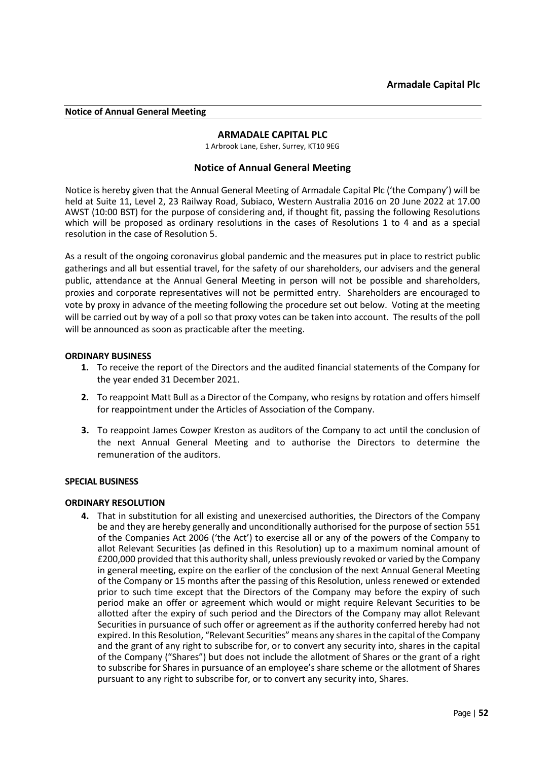#### <span id="page-51-0"></span>**Notice of Annual General Meeting**

# **ARMADALE CAPITAL PLC**

1 Arbrook Lane, Esher, Surrey, KT10 9EG

### **Notice of Annual General Meeting**

Notice is hereby given that the Annual General Meeting of Armadale Capital Plc ('the Company') will be held at Suite 11, Level 2, 23 Railway Road, Subiaco, Western Australia 2016 on 20 June 2022 at 17.00 AWST (10:00 BST) for the purpose of considering and, if thought fit, passing the following Resolutions which will be proposed as ordinary resolutions in the cases of Resolutions 1 to 4 and as a special resolution in the case of Resolution 5.

As a result of the ongoing coronavirus global pandemic and the measures put in place to restrict public gatherings and all but essential travel, for the safety of our shareholders, our advisers and the general public, attendance at the Annual General Meeting in person will not be possible and shareholders, proxies and corporate representatives will not be permitted entry. Shareholders are encouraged to vote by proxy in advance of the meeting following the procedure set out below. Voting at the meeting will be carried out by way of a poll so that proxy votes can be taken into account. The results of the poll will be announced as soon as practicable after the meeting.

#### **ORDINARY BUSINESS**

- **1.** To receive the report of the Directors and the audited financial statements of the Company for the year ended 31 December 2021.
- **2.** To reappoint Matt Bull as a Director of the Company, who resigns by rotation and offers himself for reappointment under the Articles of Association of the Company.
- **3.** To reappoint James Cowper Kreston as auditors of the Company to act until the conclusion of the next Annual General Meeting and to authorise the Directors to determine the remuneration of the auditors.

#### **SPECIAL BUSINESS**

#### **ORDINARY RESOLUTION**

**4.** That in substitution for all existing and unexercised authorities, the Directors of the Company be and they are hereby generally and unconditionally authorised for the purpose of section 551 of the Companies Act 2006 ('the Act') to exercise all or any of the powers of the Company to allot Relevant Securities (as defined in this Resolution) up to a maximum nominal amount of £200,000 provided that this authority shall, unless previously revoked or varied by the Company in general meeting, expire on the earlier of the conclusion of the next Annual General Meeting of the Company or 15 months after the passing of this Resolution, unless renewed or extended prior to such time except that the Directors of the Company may before the expiry of such period make an offer or agreement which would or might require Relevant Securities to be allotted after the expiry of such period and the Directors of the Company may allot Relevant Securities in pursuance of such offer or agreement as if the authority conferred hereby had not expired. In this Resolution, "Relevant Securities" means any shares in the capital of the Company and the grant of any right to subscribe for, or to convert any security into, shares in the capital of the Company ("Shares") but does not include the allotment of Shares or the grant of a right to subscribe for Shares in pursuance of an employee's share scheme or the allotment of Shares pursuant to any right to subscribe for, or to convert any security into, Shares.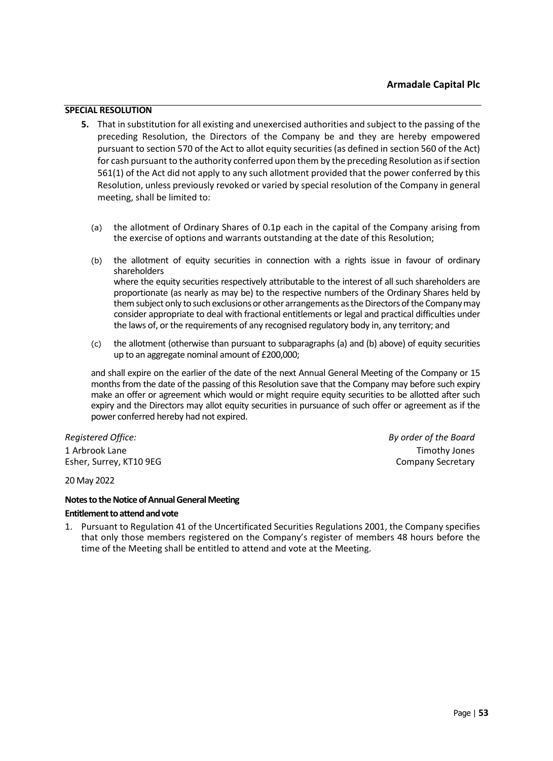# **SPECIAL RESOLUTION**

- **5.** That in substitution for all existing and unexercised authorities and subject to the passing of the preceding Resolution, the Directors of the Company be and they are hereby empowered pursuant to section 570 of the Act to allot equity securities (as defined in section 560 of the Act) for cash pursuant to the authority conferred upon them by the preceding Resolution as if section 561(1) of the Act did not apply to any such allotment provided that the power conferred by this Resolution, unless previously revoked or varied by special resolution of the Company in general meeting, shall be limited to:
	- (a) the allotment of Ordinary Shares of 0.1p each in the capital of the Company arising from the exercise of options and warrants outstanding at the date of this Resolution;
	- (b) the allotment of equity securities in connection with a rights issue in favour of ordinary shareholders where the equity securities respectively attributable to the interest of all such shareholders are proportionate (as nearly as may be) to the respective numbers of the Ordinary Shares held by them subject only to such exclusions or other arrangements as the Directorsofthe Company may consider appropriate to deal with fractional entitlements or legal and practical difficulties under the laws of, or the requirements of any recognised regulatory body in, any territory; and
	- (c) the allotment (otherwise than pursuant to subparagraphs (a) and (b) above) of equity securities up to an aggregate nominal amount of £200,000;

and shall expire on the earlier of the date of the next Annual General Meeting of the Company or 15 months from the date of the passing of this Resolution save that the Company may before such expiry make an offer or agreement which would or might require equity securities to be allotted after such expiry and the Directors may allot equity securities in pursuance of such offer or agreement as if the power conferred hereby had not expired.

1 Arbrook Lane Timothy Jones Esher, Surrey, KT10 9EG Company Secretary Company Secretary

*Registered Office: By order of the Board*

20 May 2022

#### **Notes to the Notice of Annual General Meeting**

#### **Entitlement to attend and vote**

1. Pursuant to Regulation 41 of the Uncertificated Securities Regulations 2001, the Company specifies that only those members registered on the Company's register of members 48 hours before the time of the Meeting shall be entitled to attend and vote at the Meeting.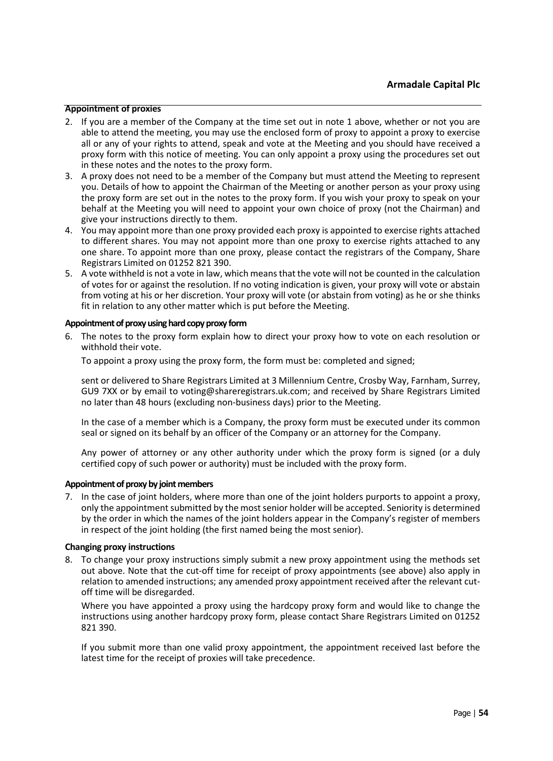#### **Appointment of proxies**

- 2. If you are a member of the Company at the time set out in note 1 above, whether or not you are able to attend the meeting, you may use the enclosed form of proxy to appoint a proxy to exercise all or any of your rights to attend, speak and vote at the Meeting and you should have received a proxy form with this notice of meeting. You can only appoint a proxy using the procedures set out in these notes and the notes to the proxy form.
- 3. A proxy does not need to be a member of the Company but must attend the Meeting to represent you. Details of how to appoint the Chairman of the Meeting or another person as your proxy using the proxy form are set out in the notes to the proxy form. If you wish your proxy to speak on your behalf at the Meeting you will need to appoint your own choice of proxy (not the Chairman) and give your instructions directly to them.
- 4. You may appoint more than one proxy provided each proxy is appointed to exercise rights attached to different shares. You may not appoint more than one proxy to exercise rights attached to any one share. To appoint more than one proxy, please contact the registrars of the Company, Share Registrars Limited on 01252 821 390.
- 5. A vote withheld is not a vote in law, which means that the vote will not be counted in the calculation of votes for or against the resolution. If no voting indication is given, your proxy will vote or abstain from voting at his or her discretion. Your proxy will vote (or abstain from voting) as he or she thinks fit in relation to any other matter which is put before the Meeting.

#### **Appointment of proxy using hard copy proxy form**

6. The notes to the proxy form explain how to direct your proxy how to vote on each resolution or withhold their vote.

To appoint a proxy using the proxy form, the form must be: completed and signed;

sent or delivered to Share Registrars Limited at 3 Millennium Centre, Crosby Way, Farnham, Surrey, GU9 7XX or by email to voting@shareregistrars.uk.com; and received by Share Registrars Limited no later than 48 hours (excluding non-business days) prior to the Meeting.

In the case of a member which is a Company, the proxy form must be executed under its common seal or signed on its behalf by an officer of the Company or an attorney for the Company.

Any power of attorney or any other authority under which the proxy form is signed (or a duly certified copy of such power or authority) must be included with the proxy form.

#### **Appointment of proxy by joint members**

7. In the case of joint holders, where more than one of the joint holders purports to appoint a proxy, only the appointment submitted by the most senior holder will be accepted. Seniority is determined by the order in which the names of the joint holders appear in the Company's register of members in respect of the joint holding (the first named being the most senior).

#### **Changing proxy instructions**

8. To change your proxy instructions simply submit a new proxy appointment using the methods set out above. Note that the cut-off time for receipt of proxy appointments (see above) also apply in relation to amended instructions; any amended proxy appointment received after the relevant cutoff time will be disregarded.

Where you have appointed a proxy using the hardcopy proxy form and would like to change the instructions using another hardcopy proxy form, please contact Share Registrars Limited on 01252 821 390.

If you submit more than one valid proxy appointment, the appointment received last before the latest time for the receipt of proxies will take precedence.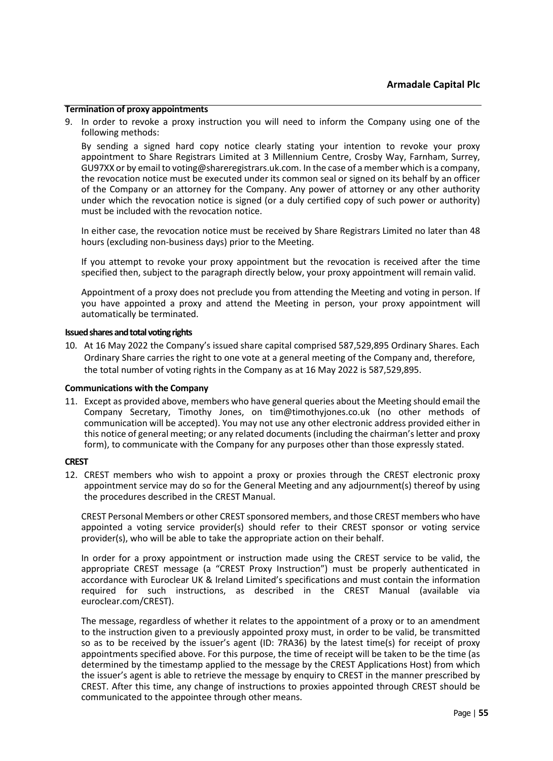#### **Termination of proxy appointments**

9. In order to revoke a proxy instruction you will need to inform the Company using one of the following methods:

By sending a signed hard copy notice clearly stating your intention to revoke your proxy appointment to Share Registrars Limited at 3 Millennium Centre, Crosby Way, Farnham, Surrey, GU97XX or by email to voting@shareregistrars.uk.com. In the case of a member which is a company, the revocation notice must be executed under its common seal or signed on its behalf by an officer of the Company or an attorney for the Company. Any power of attorney or any other authority under which the revocation notice is signed (or a duly certified copy of such power or authority) must be included with the revocation notice.

In either case, the revocation notice must be received by Share Registrars Limited no later than 48 hours (excluding non-business days) prior to the Meeting.

If you attempt to revoke your proxy appointment but the revocation is received after the time specified then, subject to the paragraph directly below, your proxy appointment will remain valid.

Appointment of a proxy does not preclude you from attending the Meeting and voting in person. If you have appointed a proxy and attend the Meeting in person, your proxy appointment will automatically be terminated.

#### **Issued shares and total voting rights**

10. At 16 May 2022 the Company's issued share capital comprised 587,529,895 Ordinary Shares. Each Ordinary Share carries the right to one vote at a general meeting of the Company and, therefore, the total number of voting rights in the Company as at 16 May 2022 is 587,529,895.

#### **Communications with the Company**

11. Except as provided above, members who have general queries about the Meeting should email the Company Secretary, Timothy Jones, on tim@timothyjones.co.uk (no other methods of communication will be accepted). You may not use any other electronic address provided either in this notice of general meeting; or any related documents (including the chairman's letter and proxy form), to communicate with the Company for any purposes other than those expressly stated.

#### **CREST**

12. CREST members who wish to appoint a proxy or proxies through the CREST electronic proxy appointment service may do so for the General Meeting and any adjournment(s) thereof by using the procedures described in the CREST Manual.

CREST Personal Members or other CREST sponsored members, and those CREST members who have appointed a voting service provider(s) should refer to their CREST sponsor or voting service provider(s), who will be able to take the appropriate action on their behalf.

In order for a proxy appointment or instruction made using the CREST service to be valid, the appropriate CREST message (a "CREST Proxy Instruction") must be properly authenticated in accordance with Euroclear UK & Ireland Limited's specifications and must contain the information required for such instructions, as described in the CREST Manual (available via euroclear.com/CREST).

The message, regardless of whether it relates to the appointment of a proxy or to an amendment to the instruction given to a previously appointed proxy must, in order to be valid, be transmitted so as to be received by the issuer's agent (ID: 7RA36) by the latest time(s) for receipt of proxy appointments specified above. For this purpose, the time of receipt will be taken to be the time (as determined by the timestamp applied to the message by the CREST Applications Host) from which the issuer's agent is able to retrieve the message by enquiry to CREST in the manner prescribed by CREST. After this time, any change of instructions to proxies appointed through CREST should be communicated to the appointee through other means.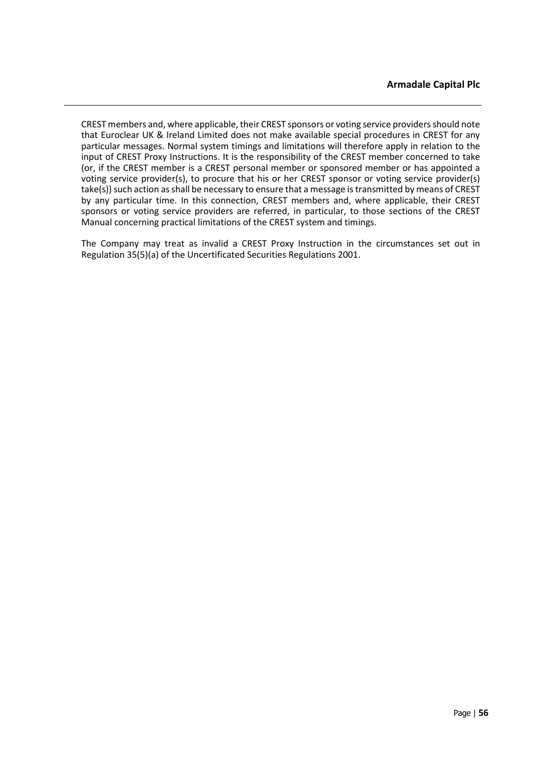CREST members and, where applicable, their CREST sponsors or voting service providers should note that Euroclear UK & Ireland Limited does not make available special procedures in CREST for any particular messages. Normal system timings and limitations will therefore apply in relation to the input of CREST Proxy Instructions. It is the responsibility of the CREST member concerned to take (or, if the CREST member is a CREST personal member or sponsored member or has appointed a voting service provider(s), to procure that his or her CREST sponsor or voting service provider(s) take(s)) such action as shall be necessary to ensure that a message is transmitted by means of CREST by any particular time. In this connection, CREST members and, where applicable, their CREST sponsors or voting service providers are referred, in particular, to those sections of the CREST Manual concerning practical limitations of the CREST system and timings.

The Company may treat as invalid a CREST Proxy Instruction in the circumstances set out in Regulation 35(5)(a) of the Uncertificated Securities Regulations 2001.